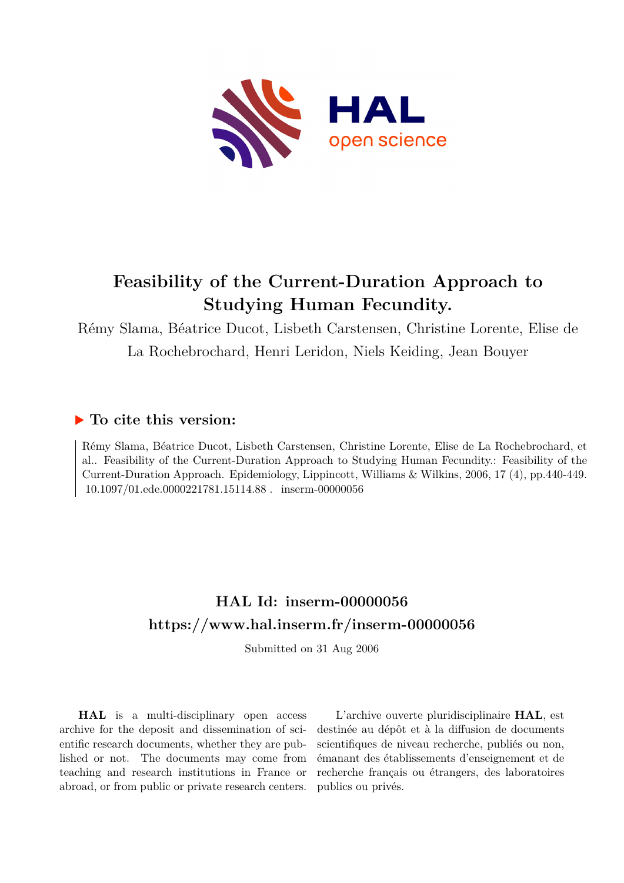

# **Feasibility of the Current-Duration Approach to Studying Human Fecundity.**

Rémy Slama, Béatrice Ducot, Lisbeth Carstensen, Christine Lorente, Elise de La Rochebrochard, Henri Leridon, Niels Keiding, Jean Bouyer

## **To cite this version:**

Rémy Slama, Béatrice Ducot, Lisbeth Carstensen, Christine Lorente, Elise de La Rochebrochard, et al.. Feasibility of the Current-Duration Approach to Studying Human Fecundity.: Feasibility of the Current-Duration Approach. Epidemiology, Lippincott, Williams & Wilkins, 2006, 17 (4), pp.440-449.  $10.1097/01.\text{ede}.0000221781.15114.88$ . inserm-00000056

# **HAL Id: inserm-00000056 <https://www.hal.inserm.fr/inserm-00000056>**

Submitted on 31 Aug 2006

**HAL** is a multi-disciplinary open access archive for the deposit and dissemination of scientific research documents, whether they are published or not. The documents may come from teaching and research institutions in France or abroad, or from public or private research centers.

L'archive ouverte pluridisciplinaire **HAL**, est destinée au dépôt et à la diffusion de documents scientifiques de niveau recherche, publiés ou non, émanant des établissements d'enseignement et de recherche français ou étrangers, des laboratoires publics ou privés.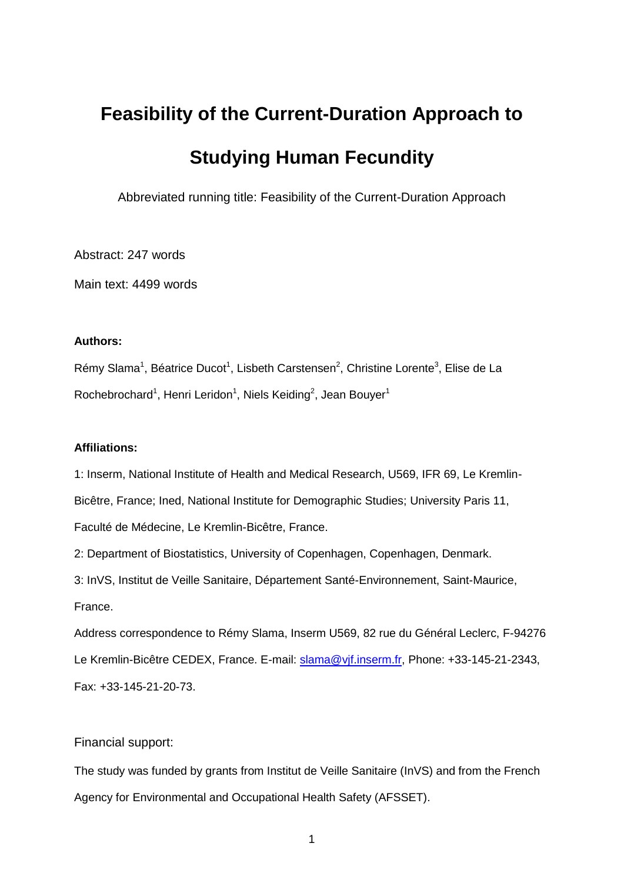# **Feasibility of the Current-Duration Approach to Studying Human Fecundity**

Abbreviated running title: Feasibility of the Current-Duration Approach

Abstract: 247 words

Main text: 4499 words

### **Authors:**

Rémy Slama<sup>1</sup>, Béatrice Ducot<sup>1</sup>, Lisbeth Carstensen<sup>2</sup>, Christine Lorente<sup>3</sup>, Elise de La Rochebrochard<sup>1</sup>, Henri Leridon<sup>1</sup>, Niels Keiding<sup>2</sup>, Jean Bouyer<sup>1</sup>

## **Affiliations:**

1: Inserm, National Institute of Health and Medical Research, U569, IFR 69, Le Kremlin-Bicêtre, France; Ined, National Institute for Demographic Studies; University Paris 11, Faculté de Médecine, Le Kremlin-Bicêtre, France.

2: Department of Biostatistics, University of Copenhagen, Copenhagen, Denmark.

3: InVS, Institut de Veille Sanitaire, Département Santé-Environnement, Saint-Maurice, France.

Address correspondence to Rémy Slama, Inserm U569, 82 rue du Général Leclerc, F-94276 Le Kremlin-Bicêtre CEDEX, France. E-mail: [slama@vjf.inserm.fr,](mailto:slama@vjf.inserm.fr) Phone: +33-145-21-2343, Fax: +33-145-21-20-73.

## Financial support:

The study was funded by grants from Institut de Veille Sanitaire (InVS) and from the French Agency for Environmental and Occupational Health Safety (AFSSET).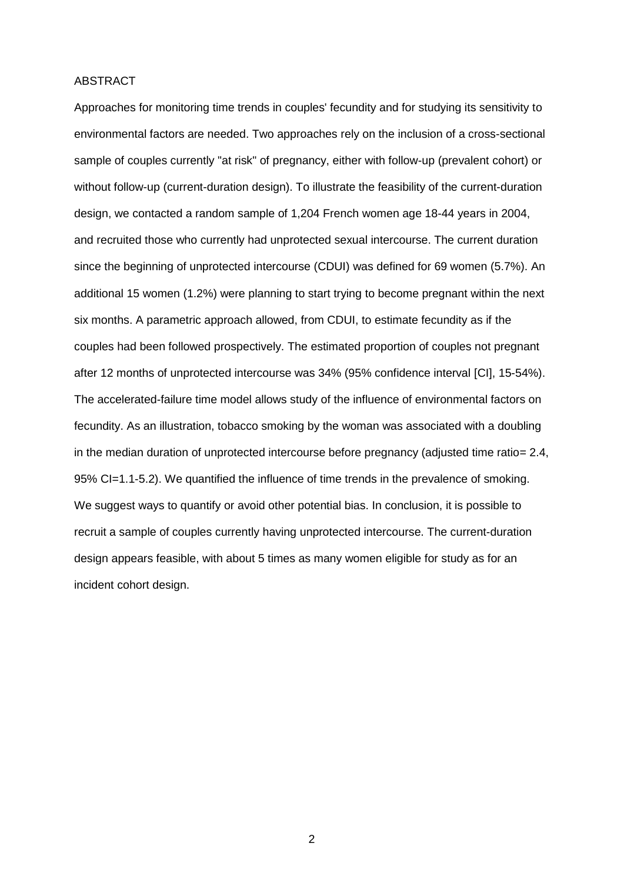#### ABSTRACT

Approaches for monitoring time trends in couples' fecundity and for studying its sensitivity to environmental factors are needed. Two approaches rely on the inclusion of a cross-sectional sample of couples currently "at risk" of pregnancy, either with follow-up (prevalent cohort) or without follow-up (current-duration design). To illustrate the feasibility of the current-duration design, we contacted a random sample of 1,204 French women age 18-44 years in 2004, and recruited those who currently had unprotected sexual intercourse. The current duration since the beginning of unprotected intercourse (CDUI) was defined for 69 women (5.7%). An additional 15 women (1.2%) were planning to start trying to become pregnant within the next six months. A parametric approach allowed, from CDUI, to estimate fecundity as if the couples had been followed prospectively. The estimated proportion of couples not pregnant after 12 months of unprotected intercourse was 34% (95% confidence interval [CI], 15-54%). The accelerated-failure time model allows study of the influence of environmental factors on fecundity. As an illustration, tobacco smoking by the woman was associated with a doubling in the median duration of unprotected intercourse before pregnancy (adjusted time ratio= 2.4, 95% CI=1.1-5.2). We quantified the influence of time trends in the prevalence of smoking. We suggest ways to quantify or avoid other potential bias. In conclusion, it is possible to recruit a sample of couples currently having unprotected intercourse. The current-duration design appears feasible, with about 5 times as many women eligible for study as for an incident cohort design.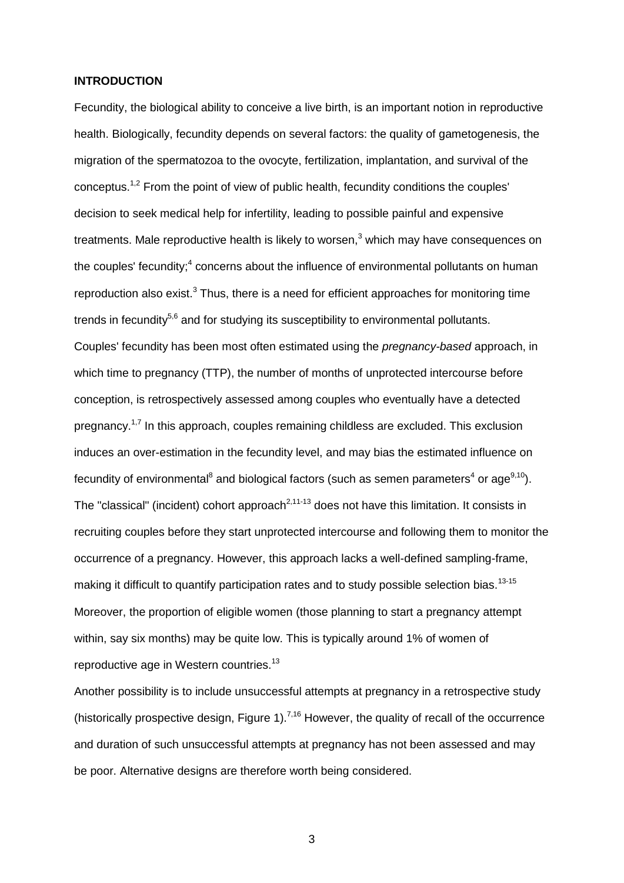## **INTRODUCTION**

Fecundity, the biological ability to conceive a live birth, is an important notion in reproductive health. Biologically, fecundity depends on several factors: the quality of gametogenesis, the migration of the spermatozoa to the ovocyte, fertilization, implantation, and survival of the conceptus.1,2 From the point of view of public health, fecundity conditions the couples' decision to seek medical help for infertility, leading to possible painful and expensive treatments. Male reproductive health is likely to worsen, $3$  which may have consequences on the couples' fecundity;<sup>4</sup> concerns about the influence of environmental pollutants on human reproduction also exist. $3$  Thus, there is a need for efficient approaches for monitoring time trends in fecundity $5,6$  and for studying its susceptibility to environmental pollutants. Couples' fecundity has been most often estimated using the *pregnancy-based* approach, in which time to pregnancy (TTP), the number of months of unprotected intercourse before conception, is retrospectively assessed among couples who eventually have a detected pregnancy.1,7 In this approach, couples remaining childless are excluded. This exclusion induces an over-estimation in the fecundity level, and may bias the estimated influence on fecundity of environmental<sup>8</sup> and biological factors (such as semen parameters<sup>4</sup> or age<sup>9,10</sup>). The "classical" (incident) cohort approach<sup>2,11-13</sup> does not have this limitation. It consists in recruiting couples before they start unprotected intercourse and following them to monitor the occurrence of a pregnancy. However, this approach lacks a well-defined sampling-frame, making it difficult to quantify participation rates and to study possible selection bias.<sup>13-15</sup> Moreover, the proportion of eligible women (those planning to start a pregnancy attempt within, say six months) may be quite low. This is typically around 1% of women of reproductive age in Western countries.<sup>13</sup>

Another possibility is to include unsuccessful attempts at pregnancy in a retrospective study (historically prospective design, Figure 1).<sup>7,16</sup> However, the quality of recall of the occurrence and duration of such unsuccessful attempts at pregnancy has not been assessed and may be poor. Alternative designs are therefore worth being considered.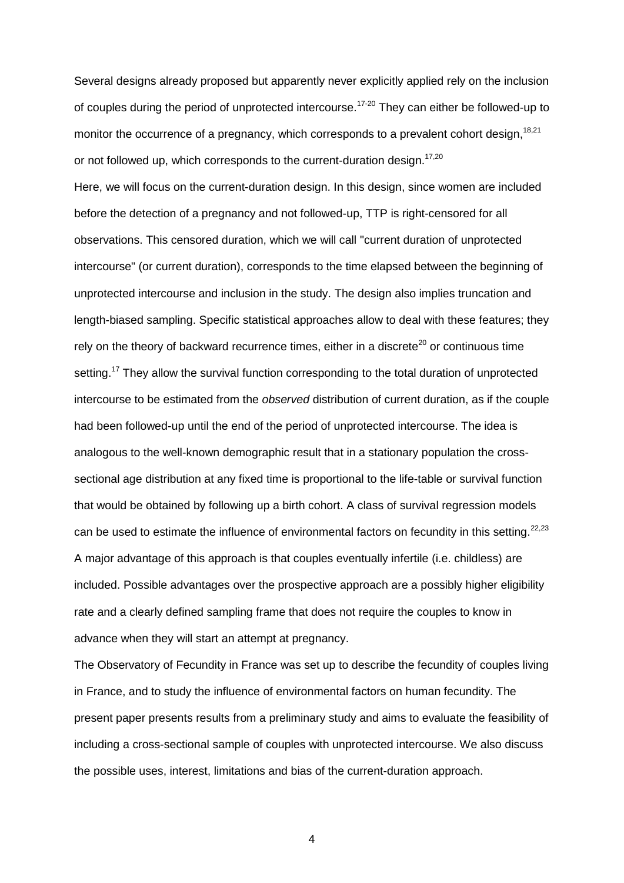Several designs already proposed but apparently never explicitly applied rely on the inclusion of couples during the period of unprotected intercourse.<sup>17-20</sup> They can either be followed-up to monitor the occurrence of a pregnancy, which corresponds to a prevalent cohort design,  $18,21$ or not followed up, which corresponds to the current-duration design.<sup>17,20</sup>

Here, we will focus on the current-duration design. In this design, since women are included before the detection of a pregnancy and not followed-up, TTP is right-censored for all observations. This censored duration, which we will call "current duration of unprotected intercourse" (or current duration), corresponds to the time elapsed between the beginning of unprotected intercourse and inclusion in the study. The design also implies truncation and length-biased sampling. Specific statistical approaches allow to deal with these features; they rely on the theory of backward recurrence times, either in a discrete<sup>20</sup> or continuous time setting.<sup>17</sup> They allow the survival function corresponding to the total duration of unprotected intercourse to be estimated from the *observed* distribution of current duration, as if the couple had been followed-up until the end of the period of unprotected intercourse. The idea is analogous to the well-known demographic result that in a stationary population the crosssectional age distribution at any fixed time is proportional to the life-table or survival function that would be obtained by following up a birth cohort. A class of survival regression models can be used to estimate the influence of environmental factors on fecundity in this setting.  $22,23$ A major advantage of this approach is that couples eventually infertile (i.e. childless) are included. Possible advantages over the prospective approach are a possibly higher eligibility rate and a clearly defined sampling frame that does not require the couples to know in advance when they will start an attempt at pregnancy.

The Observatory of Fecundity in France was set up to describe the fecundity of couples living in France, and to study the influence of environmental factors on human fecundity. The present paper presents results from a preliminary study and aims to evaluate the feasibility of including a cross-sectional sample of couples with unprotected intercourse. We also discuss the possible uses, interest, limitations and bias of the current-duration approach.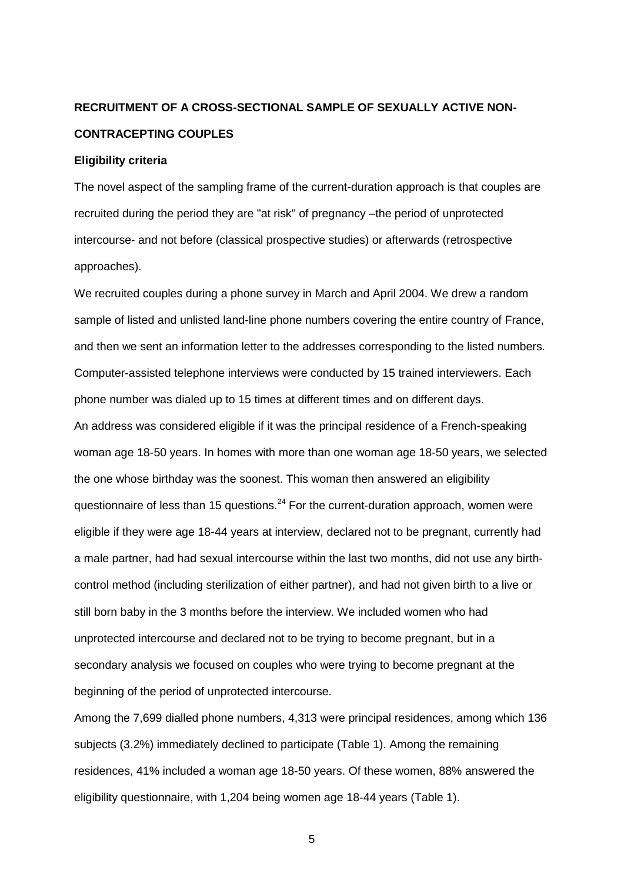# **RECRUITMENT OF A CROSS-SECTIONAL SAMPLE OF SEXUALLY ACTIVE NON-CONTRACEPTING COUPLES**

#### **Eligibility criteria**

The novel aspect of the sampling frame of the current-duration approach is that couples are recruited during the period they are "at risk" of pregnancy –the period of unprotected intercourse- and not before (classical prospective studies) or afterwards (retrospective approaches).

We recruited couples during a phone survey in March and April 2004. We drew a random sample of listed and unlisted land-line phone numbers covering the entire country of France, and then we sent an information letter to the addresses corresponding to the listed numbers. Computer-assisted telephone interviews were conducted by 15 trained interviewers. Each phone number was dialed up to 15 times at different times and on different days. An address was considered eligible if it was the principal residence of a French-speaking woman age 18-50 years. In homes with more than one woman age 18-50 years, we selected the one whose birthday was the soonest. This woman then answered an eligibility questionnaire of less than 15 questions. $^{24}$  For the current-duration approach, women were eligible if they were age 18-44 years at interview, declared not to be pregnant, currently had a male partner, had had sexual intercourse within the last two months, did not use any birthcontrol method (including sterilization of either partner), and had not given birth to a live or still born baby in the 3 months before the interview. We included women who had unprotected intercourse and declared not to be trying to become pregnant, but in a secondary analysis we focused on couples who were trying to become pregnant at the beginning of the period of unprotected intercourse.

Among the 7,699 dialled phone numbers, 4,313 were principal residences, among which 136 subjects (3.2%) immediately declined to participate (Table 1). Among the remaining residences, 41% included a woman age 18-50 years. Of these women, 88% answered the eligibility questionnaire, with 1,204 being women age 18-44 years (Table 1).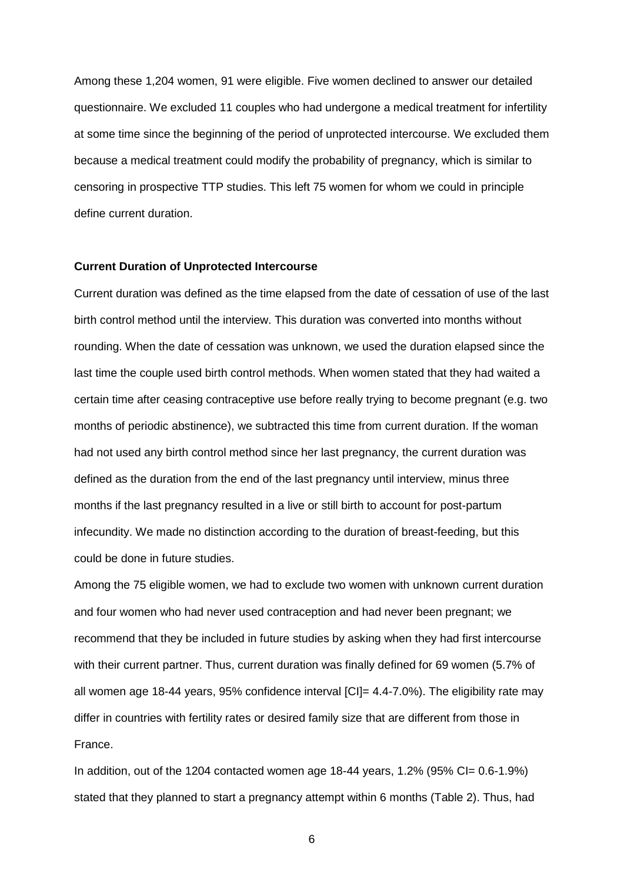Among these 1,204 women, 91 were eligible. Five women declined to answer our detailed questionnaire. We excluded 11 couples who had undergone a medical treatment for infertility at some time since the beginning of the period of unprotected intercourse. We excluded them because a medical treatment could modify the probability of pregnancy, which is similar to censoring in prospective TTP studies. This left 75 women for whom we could in principle define current duration.

#### **Current Duration of Unprotected Intercourse**

Current duration was defined as the time elapsed from the date of cessation of use of the last birth control method until the interview. This duration was converted into months without rounding. When the date of cessation was unknown, we used the duration elapsed since the last time the couple used birth control methods. When women stated that they had waited a certain time after ceasing contraceptive use before really trying to become pregnant (e.g. two months of periodic abstinence), we subtracted this time from current duration. If the woman had not used any birth control method since her last pregnancy, the current duration was defined as the duration from the end of the last pregnancy until interview, minus three months if the last pregnancy resulted in a live or still birth to account for post-partum infecundity. We made no distinction according to the duration of breast-feeding, but this could be done in future studies.

Among the 75 eligible women, we had to exclude two women with unknown current duration and four women who had never used contraception and had never been pregnant; we recommend that they be included in future studies by asking when they had first intercourse with their current partner. Thus, current duration was finally defined for 69 women (5.7% of all women age 18-44 years, 95% confidence interval  $\text{[C]} = 4.4$ -7.0%). The eligibility rate may differ in countries with fertility rates or desired family size that are different from those in France.

In addition, out of the 1204 contacted women age 18-44 years, 1.2% (95% CI=  $0.6$ -1.9%) stated that they planned to start a pregnancy attempt within 6 months (Table 2). Thus, had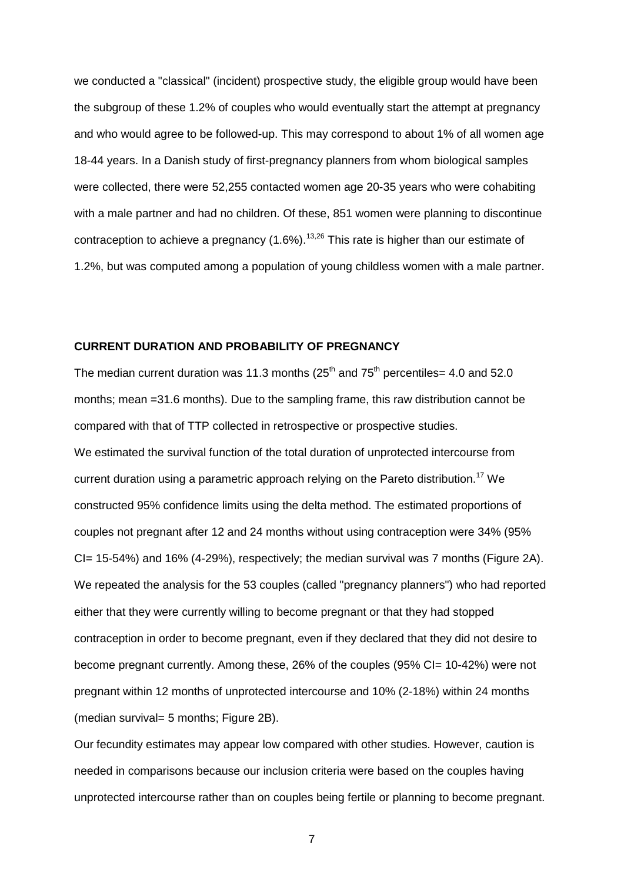we conducted a "classical" (incident) prospective study, the eligible group would have been the subgroup of these 1.2% of couples who would eventually start the attempt at pregnancy and who would agree to be followed-up. This may correspond to about 1% of all women age 18-44 years. In a Danish study of first-pregnancy planners from whom biological samples were collected, there were 52,255 contacted women age 20-35 years who were cohabiting with a male partner and had no children. Of these, 851 women were planning to discontinue contraception to achieve a pregnancy  $(1.6\%)$ .<sup>13,26</sup> This rate is higher than our estimate of 1.2%, but was computed among a population of young childless women with a male partner.

#### **CURRENT DURATION AND PROBABILITY OF PREGNANCY**

The median current duration was 11.3 months  $(25<sup>th</sup>$  and  $75<sup>th</sup>$  percentiles= 4.0 and 52.0 months; mean =31.6 months). Due to the sampling frame, this raw distribution cannot be compared with that of TTP collected in retrospective or prospective studies. We estimated the survival function of the total duration of unprotected intercourse from current duration using a parametric approach relying on the Pareto distribution.<sup>17</sup> We constructed 95% confidence limits using the delta method. The estimated proportions of couples not pregnant after 12 and 24 months without using contraception were 34% (95% CI= 15-54%) and 16% (4-29%), respectively; the median survival was 7 months (Figure 2A). We repeated the analysis for the 53 couples (called "pregnancy planners") who had reported either that they were currently willing to become pregnant or that they had stopped contraception in order to become pregnant, even if they declared that they did not desire to become pregnant currently. Among these, 26% of the couples (95% CI= 10-42%) were not pregnant within 12 months of unprotected intercourse and 10% (2-18%) within 24 months (median survival= 5 months; Figure 2B).

Our fecundity estimates may appear low compared with other studies. However, caution is needed in comparisons because our inclusion criteria were based on the couples having unprotected intercourse rather than on couples being fertile or planning to become pregnant.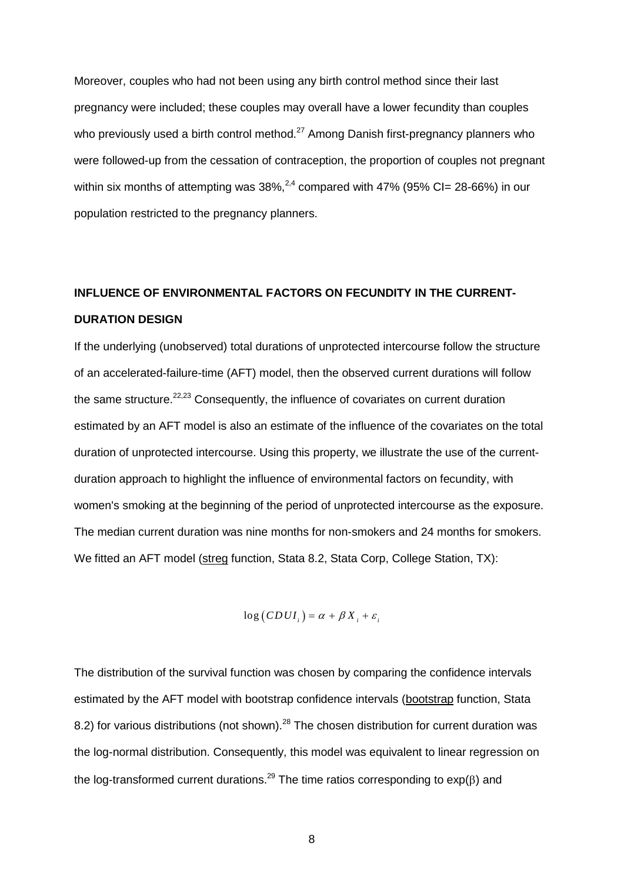Moreover, couples who had not been using any birth control method since their last pregnancy were included; these couples may overall have a lower fecundity than couples who previously used a birth control method.<sup>27</sup> Among Danish first-pregnancy planners who were followed-up from the cessation of contraception, the proportion of couples not pregnant within six months of attempting was  $38\%^{2,4}$  compared with 47% (95% CI= 28-66%) in our population restricted to the pregnancy planners.

# **INFLUENCE OF ENVIRONMENTAL FACTORS ON FECUNDITY IN THE CURRENT-DURATION DESIGN**

If the underlying (unobserved) total durations of unprotected intercourse follow the structure of an accelerated-failure-time (AFT) model, then the observed current durations will follow the same structure. $22,23$  Consequently, the influence of covariates on current duration estimated by an AFT model is also an estimate of the influence of the covariates on the total duration of unprotected intercourse. Using this property, we illustrate the use of the currentduration approach to highlight the influence of environmental factors on fecundity, with women's smoking at the beginning of the period of unprotected intercourse as the exposure. The median current duration was nine months for non-smokers and 24 months for smokers. We fitted an AFT model (streg function, Stata 8.2, Stata Corp, College Station, TX):

$$
\log(CDUI_i) = \alpha + \beta X_i + \varepsilon_i
$$

The distribution of the survival function was chosen by comparing the confidence intervals estimated by the AFT model with bootstrap confidence intervals (bootstrap function, Stata 8.2) for various distributions (not shown).<sup>28</sup> The chosen distribution for current duration was the log-normal distribution. Consequently, this model was equivalent to linear regression on the log-transformed current durations.<sup>29</sup> The time ratios corresponding to  $exp(\beta)$  and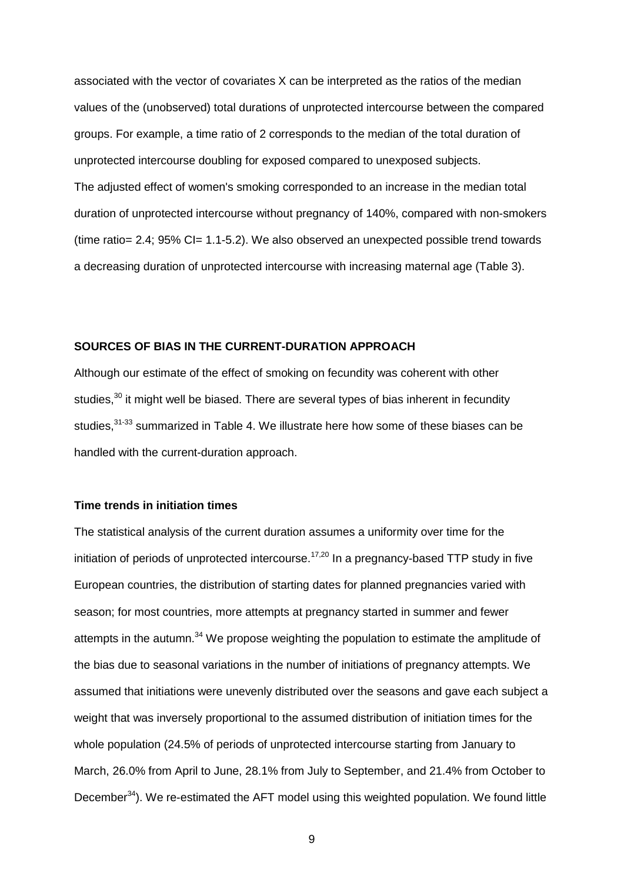associated with the vector of covariates X can be interpreted as the ratios of the median values of the (unobserved) total durations of unprotected intercourse between the compared groups. For example, a time ratio of 2 corresponds to the median of the total duration of unprotected intercourse doubling for exposed compared to unexposed subjects. The adjusted effect of women's smoking corresponded to an increase in the median total duration of unprotected intercourse without pregnancy of 140%, compared with non-smokers (time ratio= 2.4; 95% CI= 1.1-5.2). We also observed an unexpected possible trend towards a decreasing duration of unprotected intercourse with increasing maternal age (Table 3).

#### **SOURCES OF BIAS IN THE CURRENT-DURATION APPROACH**

Although our estimate of the effect of smoking on fecundity was coherent with other studies,<sup>30</sup> it might well be biased. There are several types of bias inherent in fecundity studies,<sup>31-33</sup> summarized in Table 4. We illustrate here how some of these biases can be handled with the current-duration approach.

#### **Time trends in initiation times**

The statistical analysis of the current duration assumes a uniformity over time for the initiation of periods of unprotected intercourse.<sup>17,20</sup> In a pregnancy-based TTP study in five European countries, the distribution of starting dates for planned pregnancies varied with season; for most countries, more attempts at pregnancy started in summer and fewer attempts in the autumn.<sup>34</sup> We propose weighting the population to estimate the amplitude of the bias due to seasonal variations in the number of initiations of pregnancy attempts. We assumed that initiations were unevenly distributed over the seasons and gave each subject a weight that was inversely proportional to the assumed distribution of initiation times for the whole population (24.5% of periods of unprotected intercourse starting from January to March, 26.0% from April to June, 28.1% from July to September, and 21.4% from October to December<sup>34</sup>). We re-estimated the AFT model using this weighted population. We found little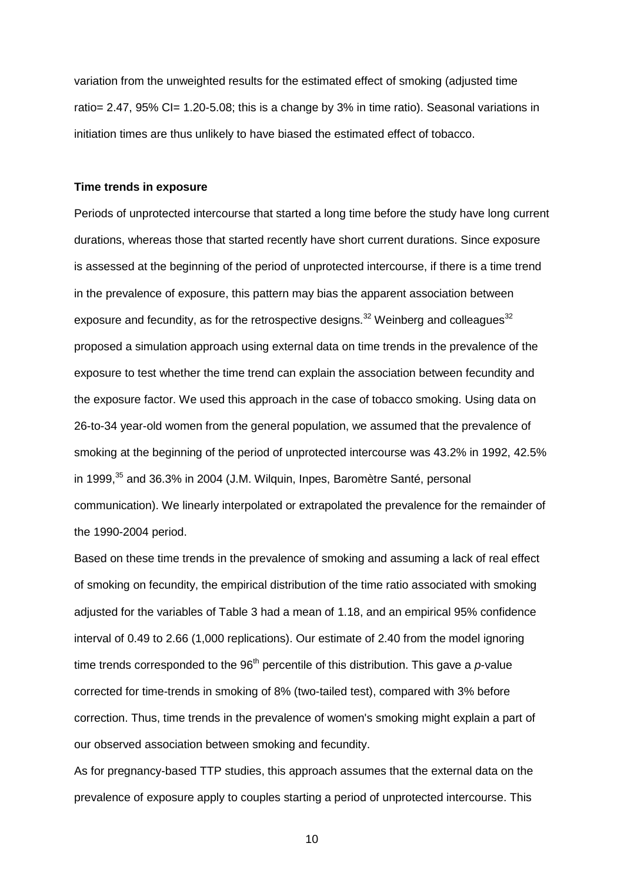variation from the unweighted results for the estimated effect of smoking (adjusted time ratio= 2.47, 95% CI= 1.20-5.08; this is a change by 3% in time ratio). Seasonal variations in initiation times are thus unlikely to have biased the estimated effect of tobacco.

#### **Time trends in exposure**

Periods of unprotected intercourse that started a long time before the study have long current durations, whereas those that started recently have short current durations. Since exposure is assessed at the beginning of the period of unprotected intercourse, if there is a time trend in the prevalence of exposure, this pattern may bias the apparent association between exposure and fecundity, as for the retrospective designs.<sup>32</sup> Weinberg and colleagues<sup>32</sup> proposed a simulation approach using external data on time trends in the prevalence of the exposure to test whether the time trend can explain the association between fecundity and the exposure factor. We used this approach in the case of tobacco smoking. Using data on 26-to-34 year-old women from the general population, we assumed that the prevalence of smoking at the beginning of the period of unprotected intercourse was 43.2% in 1992, 42.5% in 1999.<sup>35</sup> and 36.3% in 2004 (J.M. Wilguin, Inpes, Baromètre Santé, personal communication). We linearly interpolated or extrapolated the prevalence for the remainder of the 1990-2004 period.

Based on these time trends in the prevalence of smoking and assuming a lack of real effect of smoking on fecundity, the empirical distribution of the time ratio associated with smoking adjusted for the variables of Table 3 had a mean of 1.18, and an empirical 95% confidence interval of 0.49 to 2.66 (1,000 replications). Our estimate of 2.40 from the model ignoring time trends corresponded to the  $96<sup>th</sup>$  percentile of this distribution. This gave a  $p$ -value corrected for time-trends in smoking of 8% (two-tailed test), compared with 3% before correction. Thus, time trends in the prevalence of women's smoking might explain a part of our observed association between smoking and fecundity.

As for pregnancy-based TTP studies, this approach assumes that the external data on the prevalence of exposure apply to couples starting a period of unprotected intercourse. This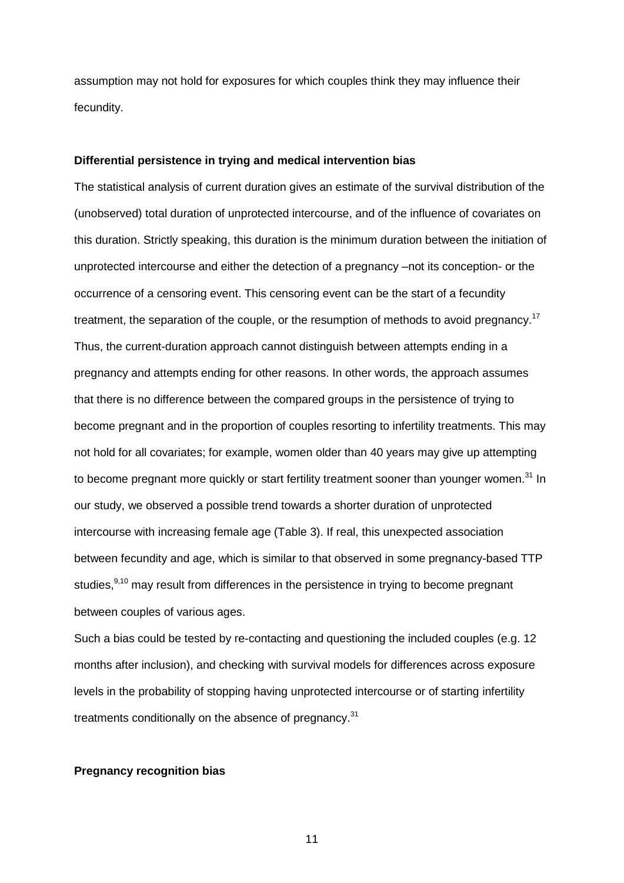assumption may not hold for exposures for which couples think they may influence their fecundity.

#### **Differential persistence in trying and medical intervention bias**

The statistical analysis of current duration gives an estimate of the survival distribution of the (unobserved) total duration of unprotected intercourse, and of the influence of covariates on this duration. Strictly speaking, this duration is the minimum duration between the initiation of unprotected intercourse and either the detection of a pregnancy –not its conception- or the occurrence of a censoring event. This censoring event can be the start of a fecundity treatment, the separation of the couple, or the resumption of methods to avoid pregnancy.<sup>17</sup> Thus, the current-duration approach cannot distinguish between attempts ending in a pregnancy and attempts ending for other reasons. In other words, the approach assumes that there is no difference between the compared groups in the persistence of trying to become pregnant and in the proportion of couples resorting to infertility treatments. This may not hold for all covariates; for example, women older than 40 years may give up attempting to become pregnant more quickly or start fertility treatment sooner than younger women.<sup>31</sup> In our study, we observed a possible trend towards a shorter duration of unprotected intercourse with increasing female age (Table 3). If real, this unexpected association between fecundity and age, which is similar to that observed in some pregnancy-based TTP studies.<sup>9,10</sup> may result from differences in the persistence in trying to become pregnant between couples of various ages.

Such a bias could be tested by re-contacting and questioning the included couples (e.g. 12 months after inclusion), and checking with survival models for differences across exposure levels in the probability of stopping having unprotected intercourse or of starting infertility treatments conditionally on the absence of pregnancy.<sup>31</sup>

#### **Pregnancy recognition bias**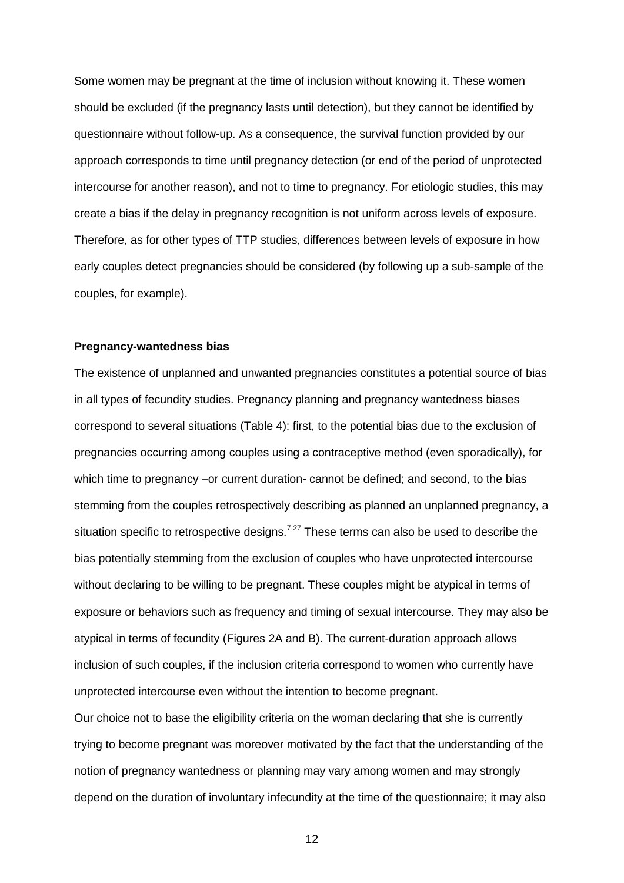Some women may be pregnant at the time of inclusion without knowing it. These women should be excluded (if the pregnancy lasts until detection), but they cannot be identified by questionnaire without follow-up. As a consequence, the survival function provided by our approach corresponds to time until pregnancy detection (or end of the period of unprotected intercourse for another reason), and not to time to pregnancy. For etiologic studies, this may create a bias if the delay in pregnancy recognition is not uniform across levels of exposure. Therefore, as for other types of TTP studies, differences between levels of exposure in how early couples detect pregnancies should be considered (by following up a sub-sample of the couples, for example).

#### **Pregnancy-wantedness bias**

The existence of unplanned and unwanted pregnancies constitutes a potential source of bias in all types of fecundity studies. Pregnancy planning and pregnancy wantedness biases correspond to several situations (Table 4): first, to the potential bias due to the exclusion of pregnancies occurring among couples using a contraceptive method (even sporadically), for which time to pregnancy –or current duration- cannot be defined; and second, to the bias stemming from the couples retrospectively describing as planned an unplanned pregnancy, a situation specific to retrospective designs.<sup>7,27</sup> These terms can also be used to describe the bias potentially stemming from the exclusion of couples who have unprotected intercourse without declaring to be willing to be pregnant. These couples might be atypical in terms of exposure or behaviors such as frequency and timing of sexual intercourse. They may also be atypical in terms of fecundity (Figures 2A and B). The current-duration approach allows inclusion of such couples, if the inclusion criteria correspond to women who currently have unprotected intercourse even without the intention to become pregnant.

Our choice not to base the eligibility criteria on the woman declaring that she is currently trying to become pregnant was moreover motivated by the fact that the understanding of the notion of pregnancy wantedness or planning may vary among women and may strongly depend on the duration of involuntary infecundity at the time of the questionnaire; it may also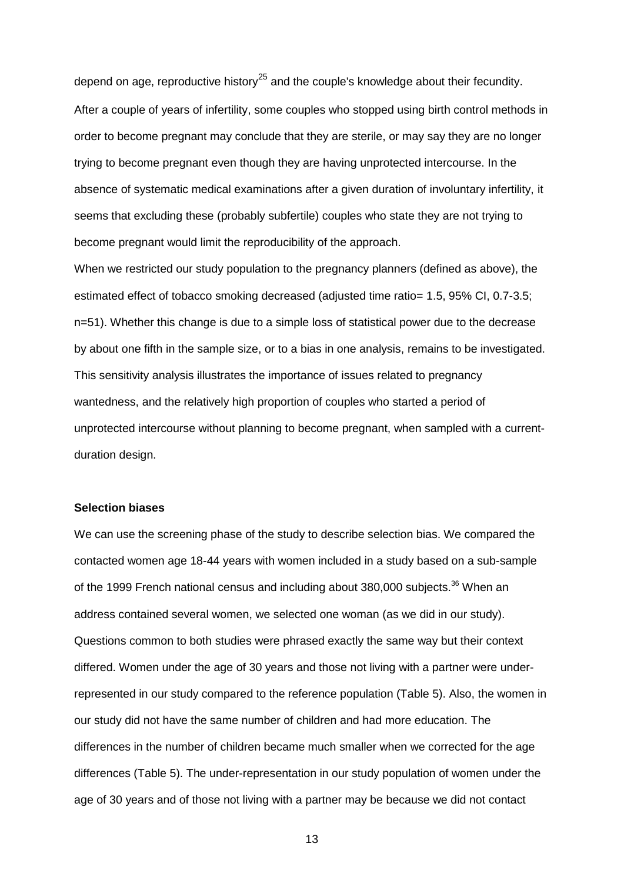depend on age, reproductive history<sup>25</sup> and the couple's knowledge about their fecundity. After a couple of years of infertility, some couples who stopped using birth control methods in order to become pregnant may conclude that they are sterile, or may say they are no longer trying to become pregnant even though they are having unprotected intercourse. In the absence of systematic medical examinations after a given duration of involuntary infertility, it seems that excluding these (probably subfertile) couples who state they are not trying to become pregnant would limit the reproducibility of the approach.

When we restricted our study population to the pregnancy planners (defined as above), the estimated effect of tobacco smoking decreased (adjusted time ratio= 1.5, 95% CI, 0.7-3.5; n=51). Whether this change is due to a simple loss of statistical power due to the decrease by about one fifth in the sample size, or to a bias in one analysis, remains to be investigated. This sensitivity analysis illustrates the importance of issues related to pregnancy wantedness, and the relatively high proportion of couples who started a period of unprotected intercourse without planning to become pregnant, when sampled with a currentduration design.

#### **Selection biases**

We can use the screening phase of the study to describe selection bias. We compared the contacted women age 18-44 years with women included in a study based on a sub-sample of the 1999 French national census and including about 380,000 subjects.<sup>36</sup> When an address contained several women, we selected one woman (as we did in our study). Questions common to both studies were phrased exactly the same way but their context differed. Women under the age of 30 years and those not living with a partner were underrepresented in our study compared to the reference population (Table 5). Also, the women in our study did not have the same number of children and had more education. The differences in the number of children became much smaller when we corrected for the age differences (Table 5). The under-representation in our study population of women under the age of 30 years and of those not living with a partner may be because we did not contact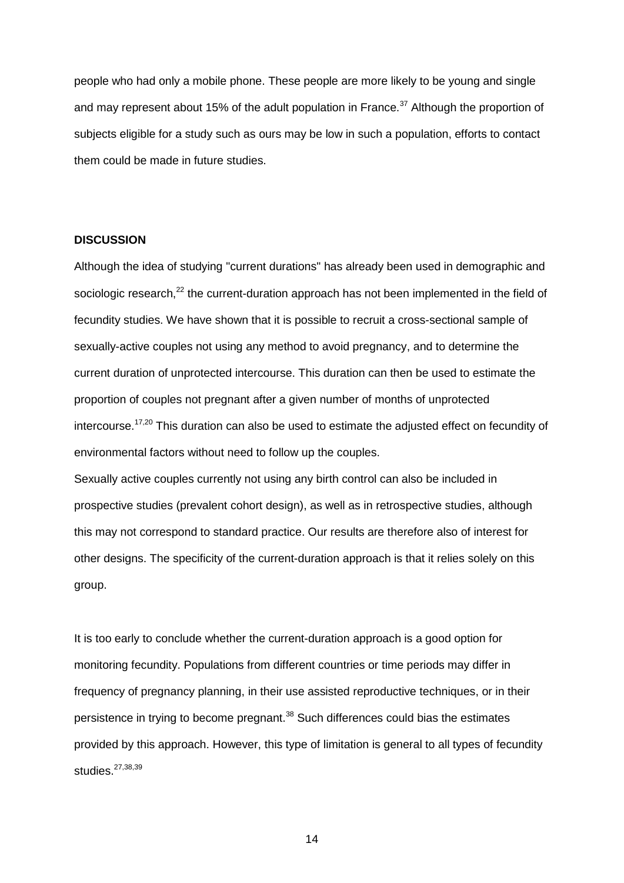people who had only a mobile phone. These people are more likely to be young and single and may represent about 15% of the adult population in France. $37$  Although the proportion of subjects eligible for a study such as ours may be low in such a population, efforts to contact them could be made in future studies.

#### **DISCUSSION**

Although the idea of studying "current durations" has already been used in demographic and sociologic research,<sup>22</sup> the current-duration approach has not been implemented in the field of fecundity studies. We have shown that it is possible to recruit a cross-sectional sample of sexually-active couples not using any method to avoid pregnancy, and to determine the current duration of unprotected intercourse. This duration can then be used to estimate the proportion of couples not pregnant after a given number of months of unprotected intercourse.<sup>17,20</sup> This duration can also be used to estimate the adjusted effect on fecundity of environmental factors without need to follow up the couples.

Sexually active couples currently not using any birth control can also be included in prospective studies (prevalent cohort design), as well as in retrospective studies, although this may not correspond to standard practice. Our results are therefore also of interest for other designs. The specificity of the current-duration approach is that it relies solely on this group.

It is too early to conclude whether the current-duration approach is a good option for monitoring fecundity. Populations from different countries or time periods may differ in frequency of pregnancy planning, in their use assisted reproductive techniques, or in their persistence in trying to become pregnant.<sup>38</sup> Such differences could bias the estimates provided by this approach. However, this type of limitation is general to all types of fecundity studies.<sup>27,38,39</sup>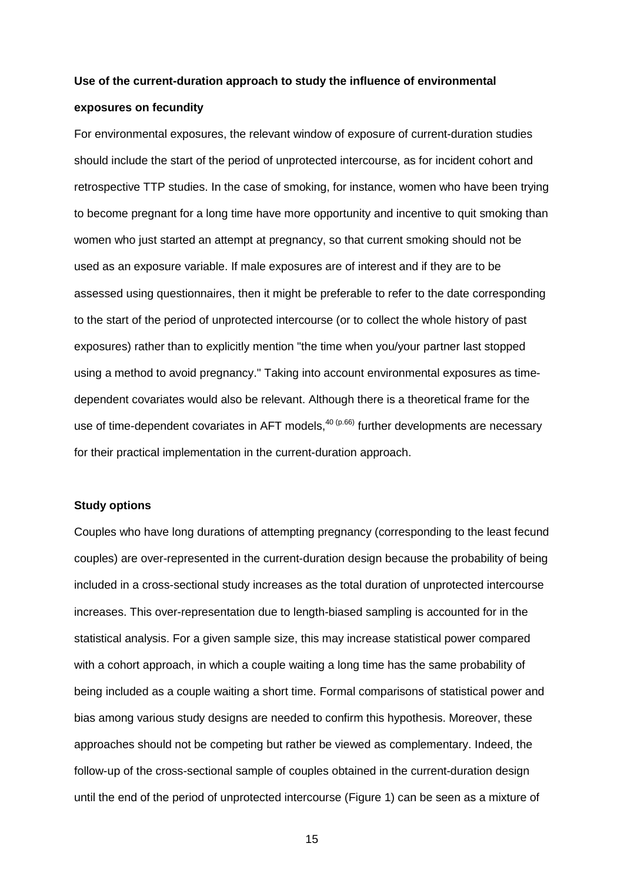# **Use of the current-duration approach to study the influence of environmental exposures on fecundity**

For environmental exposures, the relevant window of exposure of current-duration studies should include the start of the period of unprotected intercourse, as for incident cohort and retrospective TTP studies. In the case of smoking, for instance, women who have been trying to become pregnant for a long time have more opportunity and incentive to quit smoking than women who just started an attempt at pregnancy, so that current smoking should not be used as an exposure variable. If male exposures are of interest and if they are to be assessed using questionnaires, then it might be preferable to refer to the date corresponding to the start of the period of unprotected intercourse (or to collect the whole history of past exposures) rather than to explicitly mention "the time when you/your partner last stopped using a method to avoid pregnancy." Taking into account environmental exposures as timedependent covariates would also be relevant. Although there is a theoretical frame for the use of time-dependent covariates in AFT models, $40(p.66)$  further developments are necessary for their practical implementation in the current-duration approach.

#### **Study options**

Couples who have long durations of attempting pregnancy (corresponding to the least fecund couples) are over-represented in the current-duration design because the probability of being included in a cross-sectional study increases as the total duration of unprotected intercourse increases. This over-representation due to length-biased sampling is accounted for in the statistical analysis. For a given sample size, this may increase statistical power compared with a cohort approach, in which a couple waiting a long time has the same probability of being included as a couple waiting a short time. Formal comparisons of statistical power and bias among various study designs are needed to confirm this hypothesis. Moreover, these approaches should not be competing but rather be viewed as complementary. Indeed, the follow-up of the cross-sectional sample of couples obtained in the current-duration design until the end of the period of unprotected intercourse (Figure 1) can be seen as a mixture of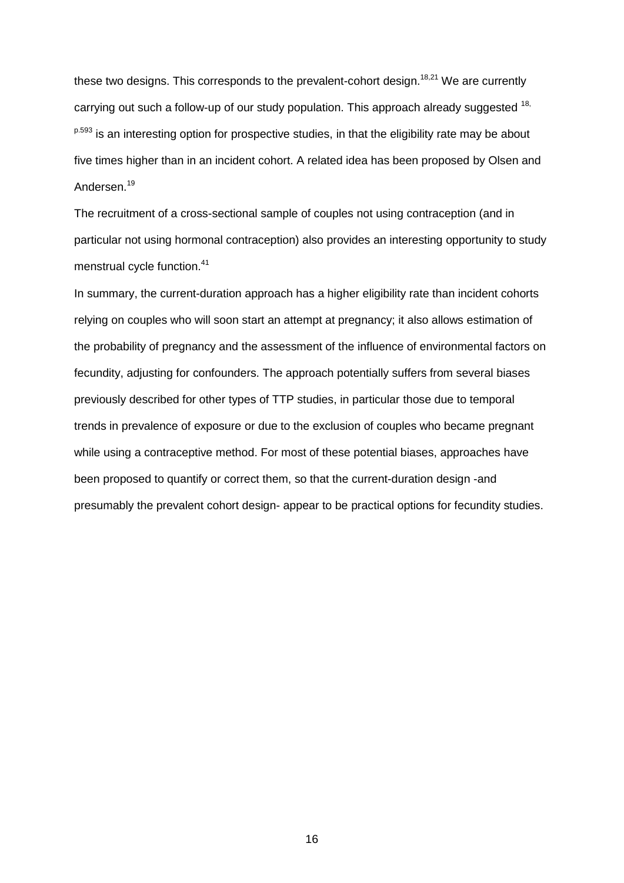these two designs. This corresponds to the prevalent-cohort design.<sup>18,21</sup> We are currently carrying out such a follow-up of our study population. This approach already suggested  $18$ , <sup>p.593</sup> is an interesting option for prospective studies, in that the eligibility rate may be about five times higher than in an incident cohort. A related idea has been proposed by Olsen and Andersen.<sup>19</sup>

The recruitment of a cross-sectional sample of couples not using contraception (and in particular not using hormonal contraception) also provides an interesting opportunity to study menstrual cycle function.<sup>41</sup>

In summary, the current-duration approach has a higher eligibility rate than incident cohorts relying on couples who will soon start an attempt at pregnancy; it also allows estimation of the probability of pregnancy and the assessment of the influence of environmental factors on fecundity, adjusting for confounders. The approach potentially suffers from several biases previously described for other types of TTP studies, in particular those due to temporal trends in prevalence of exposure or due to the exclusion of couples who became pregnant while using a contraceptive method. For most of these potential biases, approaches have been proposed to quantify or correct them, so that the current-duration design -and presumably the prevalent cohort design- appear to be practical options for fecundity studies.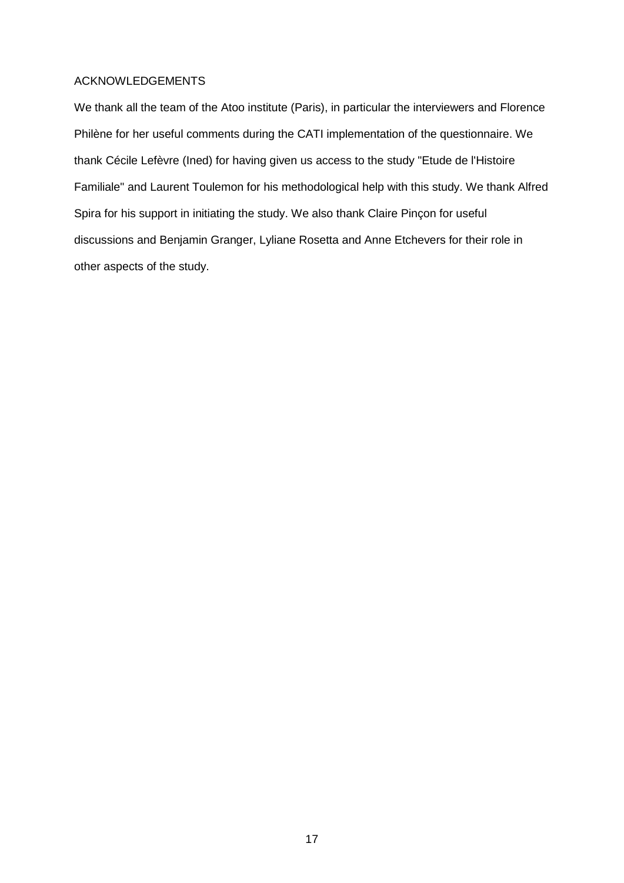#### ACKNOWLEDGEMENTS

We thank all the team of the Atoo institute (Paris), in particular the interviewers and Florence Philène for her useful comments during the CATI implementation of the questionnaire. We thank Cécile Lefèvre (Ined) for having given us access to the study "Etude de l'Histoire Familiale" and Laurent Toulemon for his methodological help with this study. We thank Alfred Spira for his support in initiating the study. We also thank Claire Pinçon for useful discussions and Benjamin Granger, Lyliane Rosetta and Anne Etchevers for their role in other aspects of the study.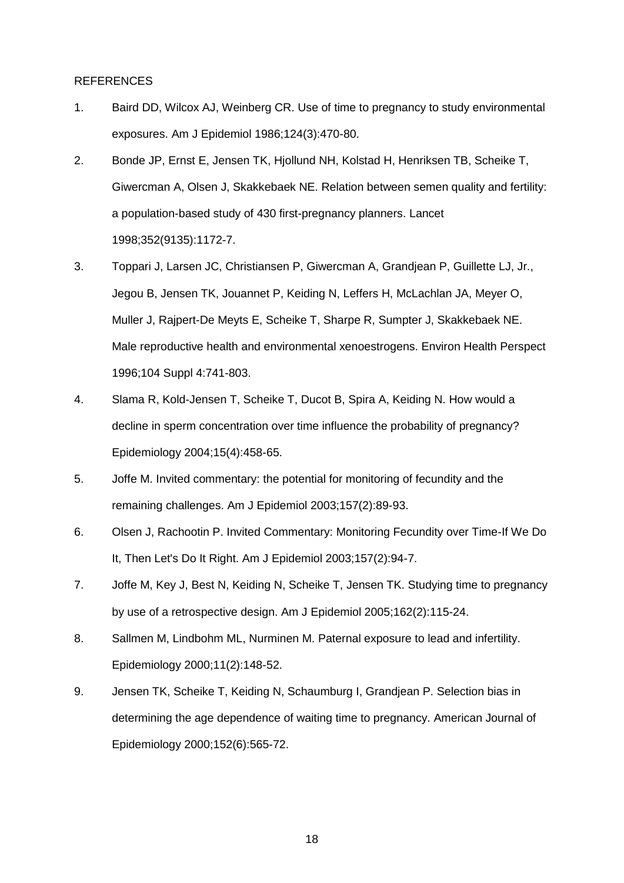#### REFERENCES

- 1. Baird DD, Wilcox AJ, Weinberg CR. Use of time to pregnancy to study environmental exposures. Am J Epidemiol 1986;124(3):470-80.
- 2. Bonde JP, Ernst E, Jensen TK, Hjollund NH, Kolstad H, Henriksen TB, Scheike T, Giwercman A, Olsen J, Skakkebaek NE. Relation between semen quality and fertility: a population-based study of 430 first-pregnancy planners. Lancet 1998;352(9135):1172-7.
- 3. Toppari J, Larsen JC, Christiansen P, Giwercman A, Grandjean P, Guillette LJ, Jr., Jegou B, Jensen TK, Jouannet P, Keiding N, Leffers H, McLachlan JA, Meyer O, Muller J, Rajpert-De Meyts E, Scheike T, Sharpe R, Sumpter J, Skakkebaek NE. Male reproductive health and environmental xenoestrogens. Environ Health Perspect 1996;104 Suppl 4:741-803.
- 4. Slama R, Kold-Jensen T, Scheike T, Ducot B, Spira A, Keiding N. How would a decline in sperm concentration over time influence the probability of pregnancy? Epidemiology 2004;15(4):458-65.
- 5. Joffe M. Invited commentary: the potential for monitoring of fecundity and the remaining challenges. Am J Epidemiol 2003;157(2):89-93.
- 6. Olsen J, Rachootin P. Invited Commentary: Monitoring Fecundity over Time-If We Do It, Then Let's Do It Right. Am J Epidemiol 2003;157(2):94-7.
- 7. Joffe M, Key J, Best N, Keiding N, Scheike T, Jensen TK. Studying time to pregnancy by use of a retrospective design. Am J Epidemiol 2005;162(2):115-24.
- 8. Sallmen M, Lindbohm ML, Nurminen M. Paternal exposure to lead and infertility. Epidemiology 2000;11(2):148-52.
- 9. Jensen TK, Scheike T, Keiding N, Schaumburg I, Grandjean P. Selection bias in determining the age dependence of waiting time to pregnancy. American Journal of Epidemiology 2000;152(6):565-72.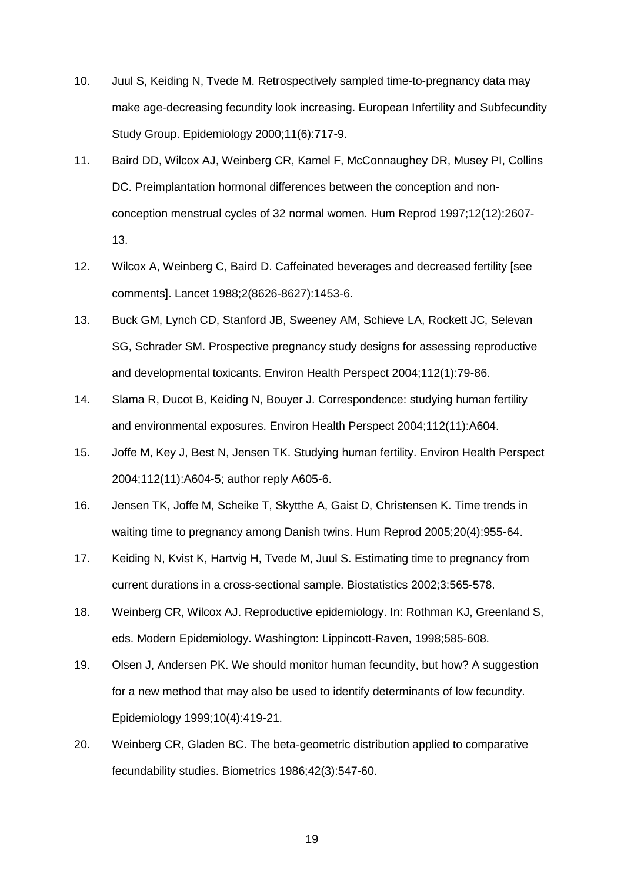- 10. Juul S, Keiding N, Tvede M. Retrospectively sampled time-to-pregnancy data may make age-decreasing fecundity look increasing. European Infertility and Subfecundity Study Group. Epidemiology 2000;11(6):717-9.
- 11. Baird DD, Wilcox AJ, Weinberg CR, Kamel F, McConnaughey DR, Musey PI, Collins DC. Preimplantation hormonal differences between the conception and nonconception menstrual cycles of 32 normal women. Hum Reprod 1997;12(12):2607- 13.
- 12. Wilcox A, Weinberg C, Baird D. Caffeinated beverages and decreased fertility [see comments]. Lancet 1988;2(8626-8627):1453-6.
- 13. Buck GM, Lynch CD, Stanford JB, Sweeney AM, Schieve LA, Rockett JC, Selevan SG, Schrader SM. Prospective pregnancy study designs for assessing reproductive and developmental toxicants. Environ Health Perspect 2004;112(1):79-86.
- 14. Slama R, Ducot B, Keiding N, Bouyer J. Correspondence: studying human fertility and environmental exposures. Environ Health Perspect 2004;112(11):A604.
- 15. Joffe M, Key J, Best N, Jensen TK. Studying human fertility. Environ Health Perspect 2004;112(11):A604-5; author reply A605-6.
- 16. Jensen TK, Joffe M, Scheike T, Skytthe A, Gaist D, Christensen K. Time trends in waiting time to pregnancy among Danish twins. Hum Reprod 2005;20(4):955-64.
- 17. Keiding N, Kvist K, Hartvig H, Tvede M, Juul S. Estimating time to pregnancy from current durations in a cross-sectional sample. Biostatistics 2002;3:565-578.
- 18. Weinberg CR, Wilcox AJ. Reproductive epidemiology. In: Rothman KJ, Greenland S, eds. Modern Epidemiology. Washington: Lippincott-Raven, 1998;585-608.
- 19. Olsen J, Andersen PK. We should monitor human fecundity, but how? A suggestion for a new method that may also be used to identify determinants of low fecundity. Epidemiology 1999;10(4):419-21.
- 20. Weinberg CR, Gladen BC. The beta-geometric distribution applied to comparative fecundability studies. Biometrics 1986;42(3):547-60.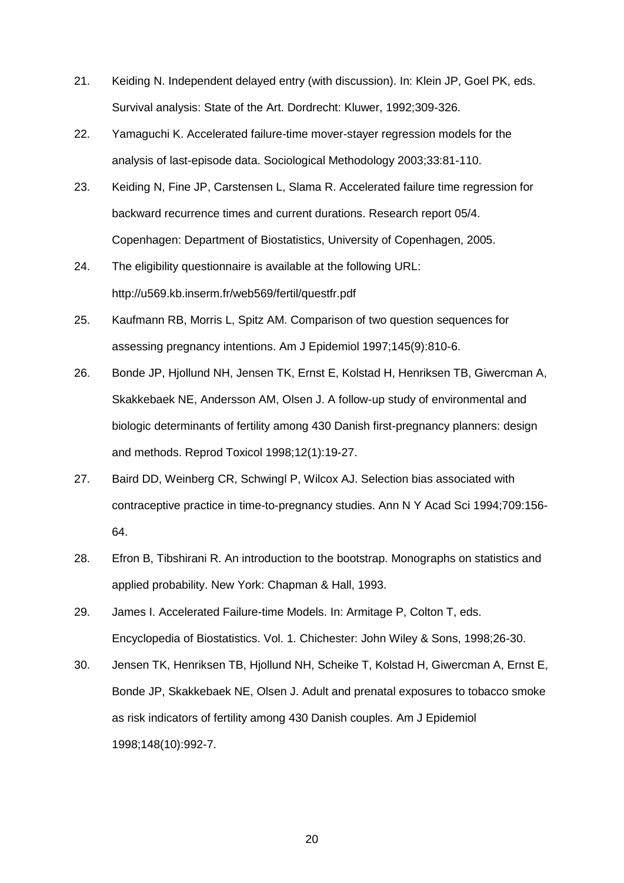- 21. Keiding N. Independent delayed entry (with discussion). In: Klein JP, Goel PK, eds. Survival analysis: State of the Art. Dordrecht: Kluwer, 1992;309-326.
- 22. Yamaguchi K. Accelerated failure-time mover-stayer regression models for the analysis of last-episode data. Sociological Methodology 2003;33:81-110.
- 23. Keiding N, Fine JP, Carstensen L, Slama R. Accelerated failure time regression for backward recurrence times and current durations. Research report 05/4. Copenhagen: Department of Biostatistics, University of Copenhagen, 2005.
- 24. The eligibility questionnaire is available at the following URL: http://u569.kb.inserm.fr/web569/fertil/questfr.pdf
- 25. Kaufmann RB, Morris L, Spitz AM. Comparison of two question sequences for assessing pregnancy intentions. Am J Epidemiol 1997;145(9):810-6.
- 26. Bonde JP, Hjollund NH, Jensen TK, Ernst E, Kolstad H, Henriksen TB, Giwercman A, Skakkebaek NE, Andersson AM, Olsen J. A follow-up study of environmental and biologic determinants of fertility among 430 Danish first-pregnancy planners: design and methods. Reprod Toxicol 1998;12(1):19-27.
- 27. Baird DD, Weinberg CR, Schwingl P, Wilcox AJ. Selection bias associated with contraceptive practice in time-to-pregnancy studies. Ann N Y Acad Sci 1994;709:156- 64.
- 28. Efron B, Tibshirani R. An introduction to the bootstrap. Monographs on statistics and applied probability. New York: Chapman & Hall, 1993.
- 29. James I. Accelerated Failure-time Models. In: Armitage P, Colton T, eds. Encyclopedia of Biostatistics. Vol. 1. Chichester: John Wiley & Sons, 1998;26-30.
- 30. Jensen TK, Henriksen TB, Hjollund NH, Scheike T, Kolstad H, Giwercman A, Ernst E, Bonde JP, Skakkebaek NE, Olsen J. Adult and prenatal exposures to tobacco smoke as risk indicators of fertility among 430 Danish couples. Am J Epidemiol 1998;148(10):992-7.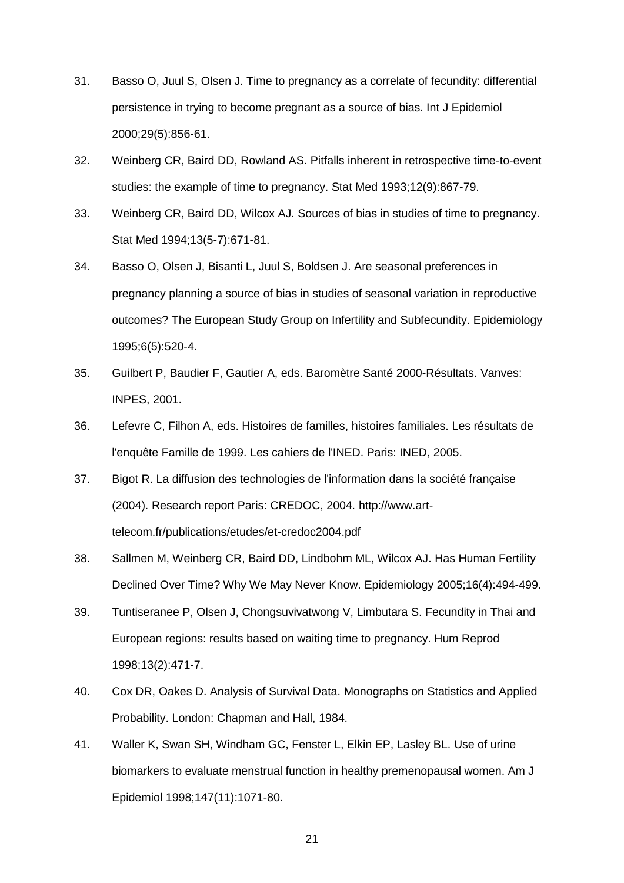- 31. Basso O, Juul S, Olsen J. Time to pregnancy as a correlate of fecundity: differential persistence in trying to become pregnant as a source of bias. Int J Epidemiol 2000;29(5):856-61.
- 32. Weinberg CR, Baird DD, Rowland AS. Pitfalls inherent in retrospective time-to-event studies: the example of time to pregnancy. Stat Med 1993;12(9):867-79.
- 33. Weinberg CR, Baird DD, Wilcox AJ. Sources of bias in studies of time to pregnancy. Stat Med 1994;13(5-7):671-81.
- 34. Basso O, Olsen J, Bisanti L, Juul S, Boldsen J. Are seasonal preferences in pregnancy planning a source of bias in studies of seasonal variation in reproductive outcomes? The European Study Group on Infertility and Subfecundity. Epidemiology 1995;6(5):520-4.
- 35. Guilbert P, Baudier F, Gautier A, eds. Baromètre Santé 2000-Résultats. Vanves: INPES, 2001.
- 36. Lefevre C, Filhon A, eds. Histoires de familles, histoires familiales. Les résultats de l'enquête Famille de 1999. Les cahiers de l'INED. Paris: INED, 2005.
- 37. Bigot R. La diffusion des technologies de l'information dans la société française (2004). Research report Paris: CREDOC, 2004. http://www.arttelecom.fr/publications/etudes/et-credoc2004.pdf
- 38. Sallmen M, Weinberg CR, Baird DD, Lindbohm ML, Wilcox AJ. Has Human Fertility Declined Over Time? Why We May Never Know. Epidemiology 2005;16(4):494-499.
- 39. Tuntiseranee P, Olsen J, Chongsuvivatwong V, Limbutara S. Fecundity in Thai and European regions: results based on waiting time to pregnancy. Hum Reprod 1998;13(2):471-7.
- 40. Cox DR, Oakes D. Analysis of Survival Data. Monographs on Statistics and Applied Probability. London: Chapman and Hall, 1984.
- 41. Waller K, Swan SH, Windham GC, Fenster L, Elkin EP, Lasley BL. Use of urine biomarkers to evaluate menstrual function in healthy premenopausal women. Am J Epidemiol 1998;147(11):1071-80.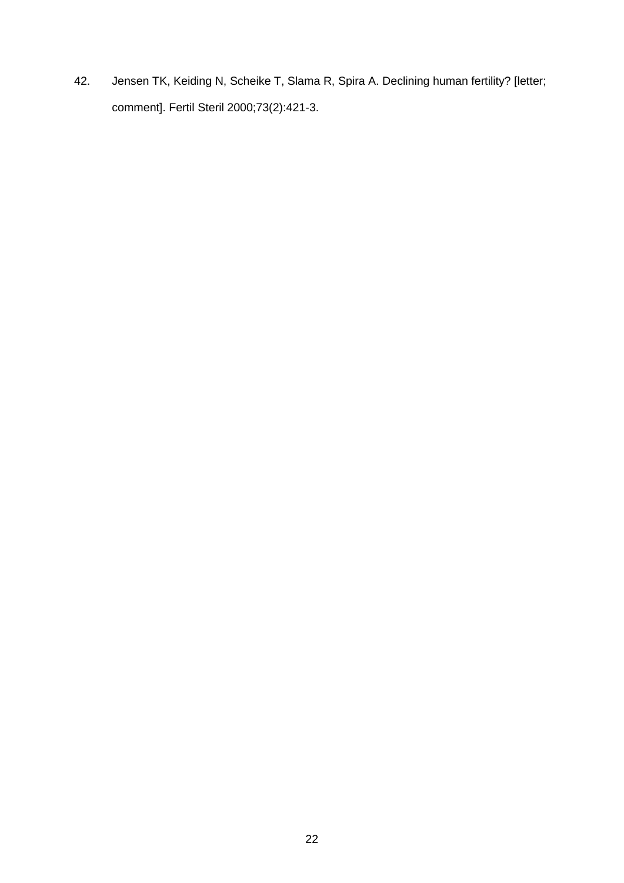42. Jensen TK, Keiding N, Scheike T, Slama R, Spira A. Declining human fertility? [letter; comment]. Fertil Steril 2000;73(2):421-3.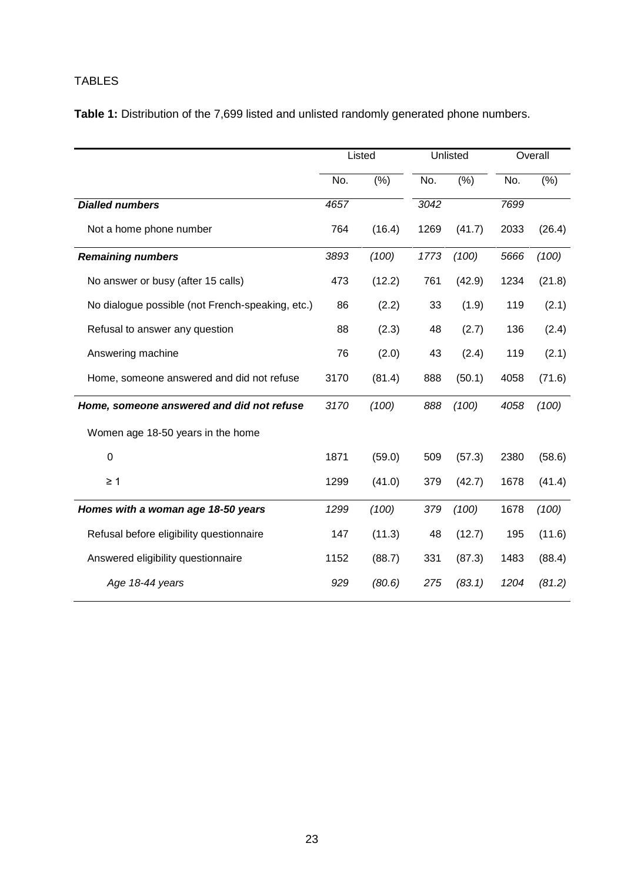## TABLES

**Table 1:** Distribution of the 7,699 listed and unlisted randomly generated phone numbers.

|                                                  | Listed |               | Unlisted |               |      | Overall |
|--------------------------------------------------|--------|---------------|----------|---------------|------|---------|
|                                                  | No.    | $\sqrt{(26)}$ | No.      | $\sqrt{(26)}$ | No.  | (% )    |
| <b>Dialled numbers</b>                           | 4657   |               | 3042     |               | 7699 |         |
| Not a home phone number                          | 764    | (16.4)        | 1269     | (41.7)        | 2033 | (26.4)  |
| <b>Remaining numbers</b>                         | 3893   | (100)         | 1773     | (100)         | 5666 | (100)   |
| No answer or busy (after 15 calls)               | 473    | (12.2)        | 761      | (42.9)        | 1234 | (21.8)  |
| No dialogue possible (not French-speaking, etc.) | 86     | (2.2)         | 33       | (1.9)         | 119  | (2.1)   |
| Refusal to answer any question                   | 88     | (2.3)         | 48       | (2.7)         | 136  | (2.4)   |
| Answering machine                                | 76     | (2.0)         | 43       | (2.4)         | 119  | (2.1)   |
| Home, someone answered and did not refuse        | 3170   | (81.4)        | 888      | (50.1)        | 4058 | (71.6)  |
| Home, someone answered and did not refuse        | 3170   | (100)         | 888      | (100)         | 4058 | (100)   |
| Women age 18-50 years in the home                |        |               |          |               |      |         |
| $\mathbf 0$                                      | 1871   | (59.0)        | 509      | (57.3)        | 2380 | (58.6)  |
| $\geq 1$                                         | 1299   | (41.0)        | 379      | (42.7)        | 1678 | (41.4)  |
| Homes with a woman age 18-50 years               | 1299   | (100)         | 379      | (100)         | 1678 | (100)   |
| Refusal before eligibility questionnaire         | 147    | (11.3)        | 48       | (12.7)        | 195  | (11.6)  |
| Answered eligibility questionnaire               | 1152   | (88.7)        | 331      | (87.3)        | 1483 | (88.4)  |
| Age 18-44 years                                  | 929    | (80.6)        | 275      | (83.1)        | 1204 | (81.2)  |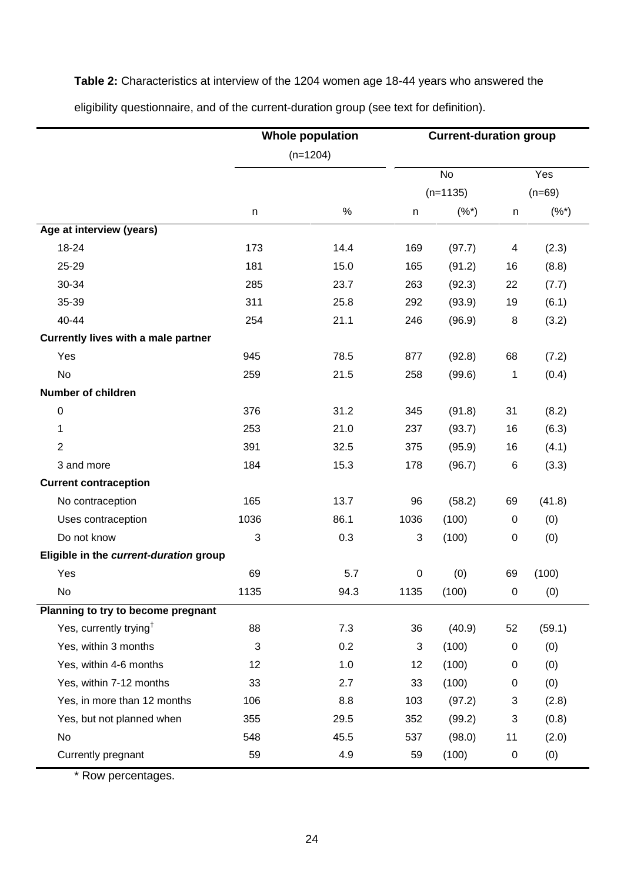**Table 2:** Characteristics at interview of the 1204 women age 18-44 years who answered the

**Whole population** (n=1204) **Current-duration group** No (n=1135) Yes (n=69) n % n (%\*) n (%\*) **Age at interview (years)** 18-24 25-29 30-34 35-39 40-44 173 181 285 311 254 14.4 15.0 23.7 25.8 21.1 169 165 263 292 246 (97.7) (91.2) (92.3) (93.9) (96.9) 4 16 22 19 8 (2.3) (8.8) (7.7) (6.1) (3.2) **Currently lives with a male partner** Yes No 945 259 78.5 21.5 877 258 (92.8) (99.6) 68 1 (7.2) (0.4) **Number of children**  $\Omega$ 1 2 3 and more 376 253 391 184 31.2 21.0 32.5 15.3 345 237 375 178 (91.8) (93.7) (95.9) (96.7) 31 16 16 6 (8.2) (6.3) (4.1) (3.3) **Current contraception** No contraception Uses contraception Do not know 165 1036 3 13.7 86.1 0.3 96 1036 3 (58.2) (100) (100) 69  $\Omega$ 0 (41.8) (0) (0) **Eligible in the** *current-duration* **group** Yes No 69 1135 5.7 94.3 0 1135 (0) (100) 69 0 (100) (0) **Planning to try to become pregnant** Yes, currently trying† Yes, within 3 months Yes, within 4-6 months Yes, within 7-12 months Yes, in more than 12 months Yes, but not planned when No Currently pregnant 88 3 12 33 106 355 548 59 7.3 0.2 1.0 2.7 8.8 29.5 45.5 4.9 36 3 12 33 103 352 537 59 (40.9) (100) (100) (100) (97.2) (99.2) (98.0) (100) 52 0  $\overline{0}$ 0 3 3 11 0 (59.1) (0) (0) (0) (2.8) (0.8) (2.0) (0)

eligibility questionnaire, and of the current-duration group (see text for definition).

\* Row percentages.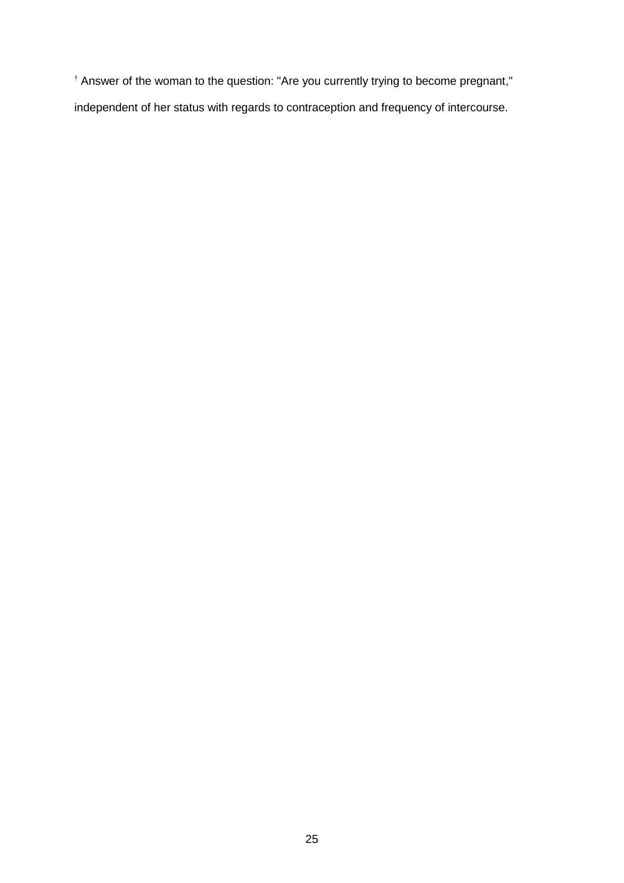† Answer of the woman to the question: "Are you currently trying to become pregnant," independent of her status with regards to contraception and frequency of intercourse.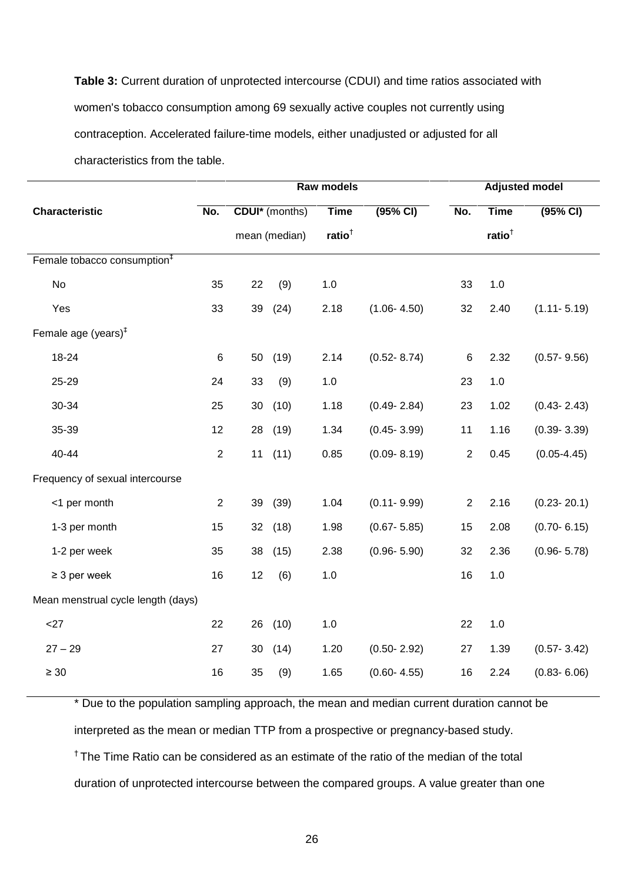**Table 3:** Current duration of unprotected intercourse (CDUI) and time ratios associated with women's tobacco consumption among 69 sexually active couples not currently using contraception. Accelerated failure-time models, either unadjusted or adjusted for all characteristics from the table.

|                                         |            | Raw models |                       |             | <b>Adjusted model</b> |                |             |                 |
|-----------------------------------------|------------|------------|-----------------------|-------------|-----------------------|----------------|-------------|-----------------|
| <b>Characteristic</b>                   | No.        |            | <b>CDUI*</b> (months) | <b>Time</b> | (95% CI)              | No.            | <b>Time</b> | (95% CI)        |
|                                         |            |            | mean (median)         | ratio $†$   |                       |                | ratio $†$   |                 |
| Female tobacco consumption <sup>#</sup> |            |            |                       |             |                       |                |             |                 |
| No                                      | 35         | 22         | (9)                   | 1.0         |                       | 33             | 1.0         |                 |
| Yes                                     | 33         | 39         | (24)                  | 2.18        | $(1.06 - 4.50)$       | 32             | 2.40        | $(1.11 - 5.19)$ |
| Female age (years) $‡$                  |            |            |                       |             |                       |                |             |                 |
| 18-24                                   | $\,6$      | 50         | (19)                  | 2.14        | $(0.52 - 8.74)$       | $\,6$          | 2.32        | $(0.57 - 9.56)$ |
| 25-29                                   | 24         | 33         | (9)                   | $1.0$       |                       | 23             | 1.0         |                 |
| 30-34                                   | 25         | 30         | (10)                  | 1.18        | $(0.49 - 2.84)$       | 23             | 1.02        | $(0.43 - 2.43)$ |
| 35-39                                   | 12         | 28         | (19)                  | 1.34        | $(0.45 - 3.99)$       | 11             | 1.16        | $(0.39 - 3.39)$ |
| 40-44                                   | $\sqrt{2}$ | 11         | (11)                  | 0.85        | $(0.09 - 8.19)$       | $\overline{2}$ | 0.45        | $(0.05 - 4.45)$ |
| Frequency of sexual intercourse         |            |            |                       |             |                       |                |             |                 |
| <1 per month                            | $\sqrt{2}$ | 39         | (39)                  | 1.04        | $(0.11 - 9.99)$       | $\mathbf{2}$   | 2.16        | $(0.23 - 20.1)$ |
| 1-3 per month                           | 15         | 32         | (18)                  | 1.98        | $(0.67 - 5.85)$       | 15             | 2.08        | $(0.70 - 6.15)$ |
| 1-2 per week                            | 35         | 38         | (15)                  | 2.38        | $(0.96 - 5.90)$       | 32             | 2.36        | $(0.96 - 5.78)$ |
| $\geq$ 3 per week                       | 16         | 12         | (6)                   | 1.0         |                       | 16             | 1.0         |                 |
| Mean menstrual cycle length (days)      |            |            |                       |             |                       |                |             |                 |
| <27                                     | 22         | 26         | (10)                  | $1.0$       |                       | 22             | 1.0         |                 |
| $27 - 29$                               | 27         | 30         | (14)                  | 1.20        | $(0.50 - 2.92)$       | 27             | 1.39        | $(0.57 - 3.42)$ |
| $\geq 30$                               | 16         | 35         | (9)                   | 1.65        | $(0.60 - 4.55)$       | 16             | 2.24        | $(0.83 - 6.06)$ |
|                                         |            |            |                       |             |                       |                |             |                 |

\* Due to the population sampling approach, the mean and median current duration cannot be interpreted as the mean or median TTP from a prospective or pregnancy-based study.  $<sup>†</sup>$  The Time Ratio can be considered as an estimate of the ratio of the median of the total</sup> duration of unprotected intercourse between the compared groups. A value greater than one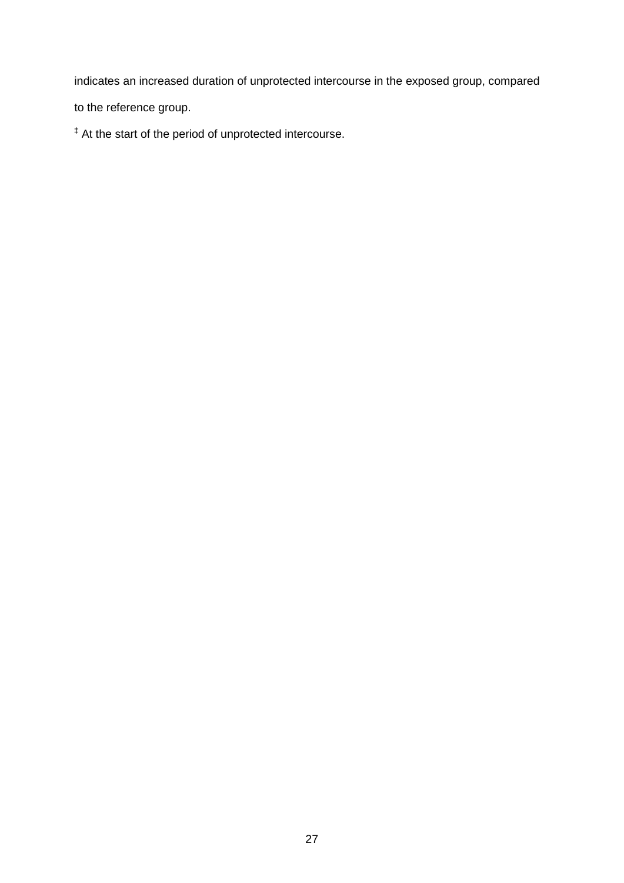indicates an increased duration of unprotected intercourse in the exposed group, compared to the reference group.

‡ At the start of the period of unprotected intercourse.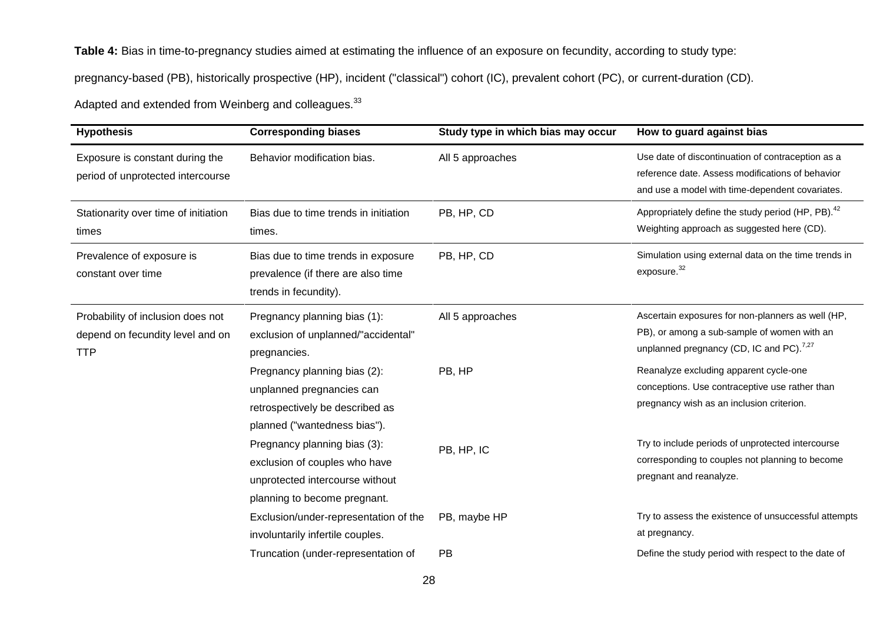**Table 4:** Bias in time-to-pregnancy studies aimed at estimating the influence of an exposure on fecundity, according to study type:

pregnancy-based (PB), historically prospective (HP), incident ("classical") cohort (IC), prevalent cohort (PC), or current-duration (CD).

Adapted and extended from Weinberg and colleagues.<sup>33</sup>

| <b>Hypothesis</b>                                                                   | <b>Corresponding biases</b>                                                                                                  | Study type in which bias may occur | How to guard against bias                                                                                                                                |
|-------------------------------------------------------------------------------------|------------------------------------------------------------------------------------------------------------------------------|------------------------------------|----------------------------------------------------------------------------------------------------------------------------------------------------------|
| Exposure is constant during the<br>period of unprotected intercourse                | Behavior modification bias.                                                                                                  | All 5 approaches                   | Use date of discontinuation of contraception as a<br>reference date. Assess modifications of behavior<br>and use a model with time-dependent covariates. |
| Stationarity over time of initiation<br>times                                       | Bias due to time trends in initiation<br>times.                                                                              | PB, HP, CD                         | Appropriately define the study period (HP, PB). <sup>42</sup><br>Weighting approach as suggested here (CD).                                              |
| Prevalence of exposure is<br>constant over time                                     | Bias due to time trends in exposure<br>prevalence (if there are also time<br>trends in fecundity).                           | PB, HP, CD                         | Simulation using external data on the time trends in<br>exposure. <sup>32</sup>                                                                          |
| Probability of inclusion does not<br>depend on fecundity level and on<br><b>TTP</b> | Pregnancy planning bias (1):<br>exclusion of unplanned/"accidental"<br>pregnancies.                                          | All 5 approaches                   | Ascertain exposures for non-planners as well (HP,<br>PB), or among a sub-sample of women with an<br>unplanned pregnancy (CD, IC and PC). <sup>7,27</sup> |
|                                                                                     | Pregnancy planning bias (2):<br>unplanned pregnancies can<br>retrospectively be described as<br>planned ("wantedness bias"). | PB, HP                             | Reanalyze excluding apparent cycle-one<br>conceptions. Use contraceptive use rather than<br>pregnancy wish as an inclusion criterion.                    |
|                                                                                     | Pregnancy planning bias (3):<br>exclusion of couples who have<br>unprotected intercourse without                             | PB, HP, IC                         | Try to include periods of unprotected intercourse<br>corresponding to couples not planning to become<br>pregnant and reanalyze.                          |
|                                                                                     | planning to become pregnant.<br>Exclusion/under-representation of the<br>involuntarily infertile couples.                    | PB, maybe HP                       | Try to assess the existence of unsuccessful attempts<br>at pregnancy.<br>Define the study period with respect to the date of                             |
|                                                                                     | Truncation (under-representation of                                                                                          | PB                                 |                                                                                                                                                          |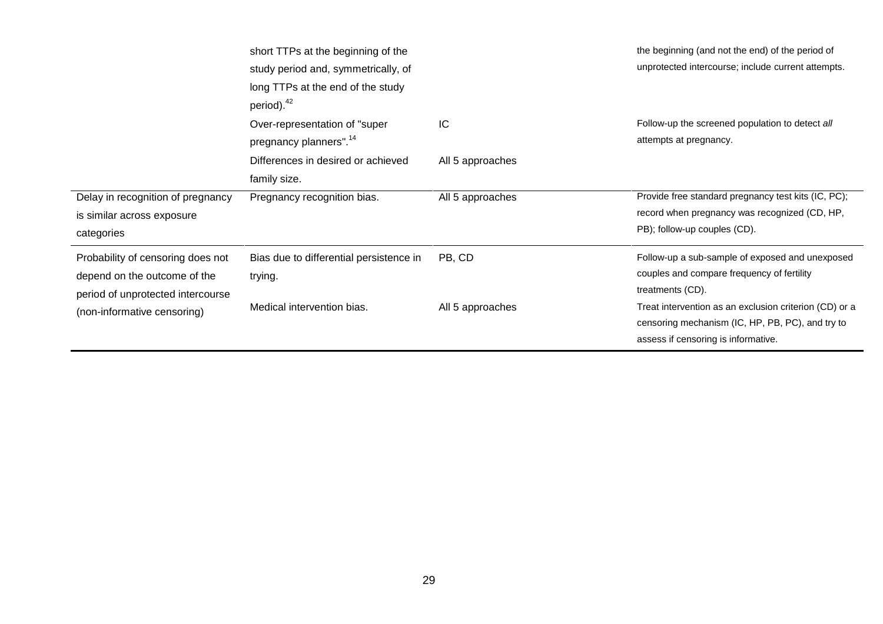|                                                                                                        | short TTPs at the beginning of the<br>study period and, symmetrically, of<br>long TTPs at the end of the study<br>period). <sup>42</sup> |                  | the beginning (and not the end) of the period of<br>unprotected intercourse; include current attempts.                                            |
|--------------------------------------------------------------------------------------------------------|------------------------------------------------------------------------------------------------------------------------------------------|------------------|---------------------------------------------------------------------------------------------------------------------------------------------------|
|                                                                                                        | Over-representation of "super"<br>pregnancy planners". <sup>14</sup>                                                                     | IC               | Follow-up the screened population to detect all<br>attempts at pregnancy.                                                                         |
|                                                                                                        | Differences in desired or achieved<br>family size.                                                                                       | All 5 approaches |                                                                                                                                                   |
| Delay in recognition of pregnancy<br>is similar across exposure<br>categories                          | Pregnancy recognition bias.                                                                                                              | All 5 approaches | Provide free standard pregnancy test kits (IC, PC);<br>record when pregnancy was recognized (CD, HP,<br>PB); follow-up couples (CD).              |
| Probability of censoring does not<br>depend on the outcome of the<br>period of unprotected intercourse | Bias due to differential persistence in<br>trying.                                                                                       | PB, CD           | Follow-up a sub-sample of exposed and unexposed<br>couples and compare frequency of fertility<br>treatments (CD).                                 |
| (non-informative censoring)                                                                            | Medical intervention bias.                                                                                                               | All 5 approaches | Treat intervention as an exclusion criterion (CD) or a<br>censoring mechanism (IC, HP, PB, PC), and try to<br>assess if censoring is informative. |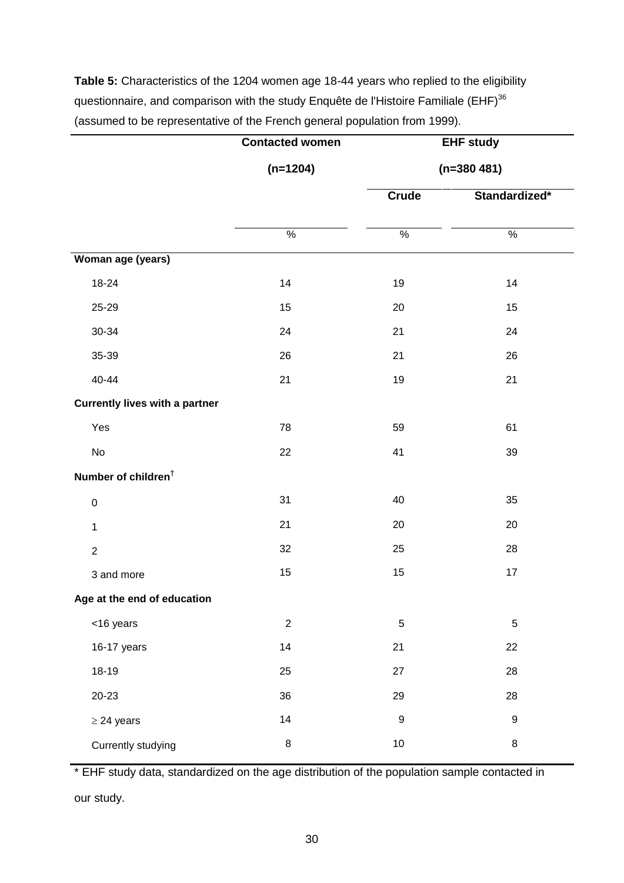**Table 5:** Characteristics of the 1204 women age 18-44 years who replied to the eligibility questionnaire, and comparison with the study Enquête de l'Histoire Familiale (EHF)<sup>36</sup> (assumed to be representative of the French general population from 1999).

|                                       | <b>Contacted women</b> | <b>EHF study</b><br>$(n=380 481)$ |                  |  |  |
|---------------------------------------|------------------------|-----------------------------------|------------------|--|--|
|                                       | $(n=1204)$             |                                   |                  |  |  |
|                                       |                        | <b>Crude</b>                      | Standardized*    |  |  |
|                                       |                        |                                   |                  |  |  |
|                                       | $\frac{9}{6}$          | $\frac{0}{0}$                     | $\frac{0}{0}$    |  |  |
| Woman age (years)                     |                        |                                   |                  |  |  |
| 18-24                                 | 14                     | 19                                | 14               |  |  |
| 25-29                                 | 15                     | 20                                | 15               |  |  |
| 30-34                                 | 24                     | 21                                | 24               |  |  |
| 35-39                                 | 26                     | 21                                | 26               |  |  |
| 40-44                                 | 21                     | 19                                | 21               |  |  |
| <b>Currently lives with a partner</b> |                        |                                   |                  |  |  |
| Yes                                   | 78                     | 59                                | 61               |  |  |
| No                                    | 22                     | 41                                | 39               |  |  |
| Number of children <sup>†</sup>       |                        |                                   |                  |  |  |
| $\pmb{0}$                             | 31                     | 40                                | 35               |  |  |
| $\mathbf 1$                           | 21                     | 20                                | 20               |  |  |
| $\overline{2}$                        | 32                     | 25                                | 28               |  |  |
| 3 and more                            | 15                     | 15                                | 17               |  |  |
| Age at the end of education           |                        |                                   |                  |  |  |
| <16 years                             | $\sqrt{2}$             | $\mathbf 5$                       | 5                |  |  |
| 16-17 years                           | 14                     | 21                                | 22               |  |  |
| 18-19                                 | 25                     | 27                                | 28               |  |  |
| $20 - 23$                             | 36                     | 29                                | 28               |  |  |
| $\geq$ 24 years                       | 14                     | $\boldsymbol{9}$                  | $\boldsymbol{9}$ |  |  |
| Currently studying                    | $\bf 8$                | $10\,$                            | 8                |  |  |

\* EHF study data, standardized on the age distribution of the population sample contacted in

our study.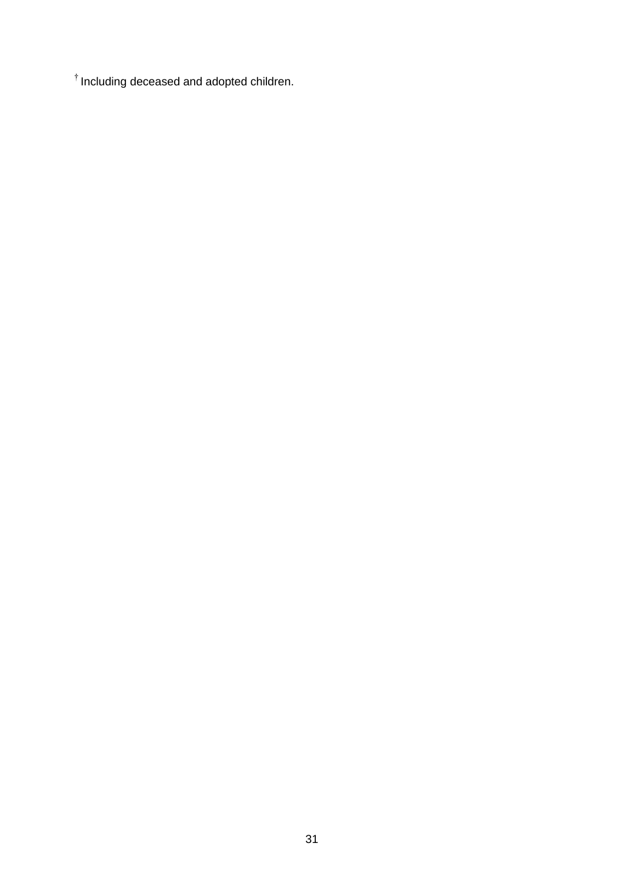$<sup>†</sup>$  Including deceased and adopted children.</sup>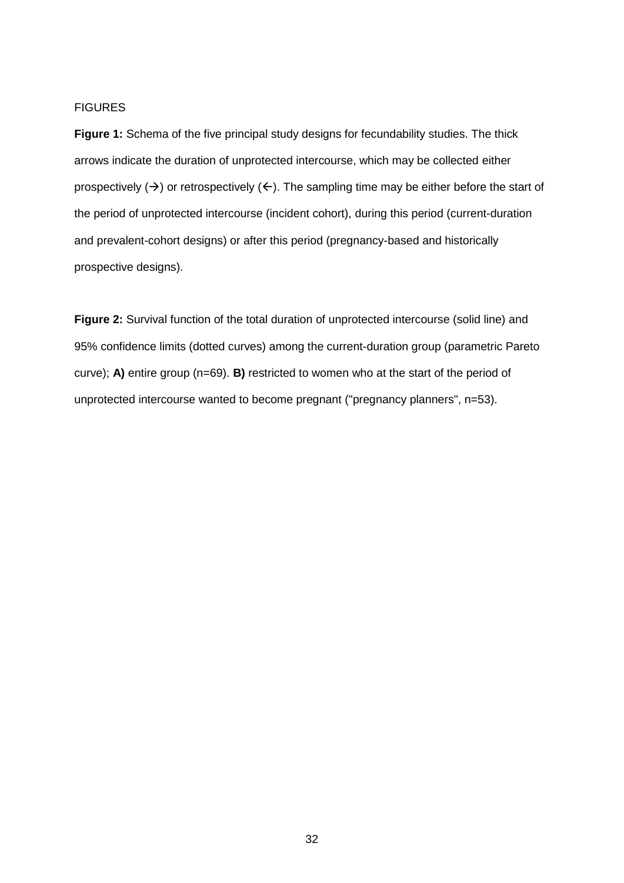#### **FIGURES**

**Figure 1:** Schema of the five principal study designs for fecundability studies. The thick arrows indicate the duration of unprotected intercourse, which may be collected either prospectively ( $\rightarrow$ ) or retrospectively ( $\leftarrow$ ). The sampling time may be either before the start of the period of unprotected intercourse (incident cohort), during this period (current-duration and prevalent-cohort designs) or after this period (pregnancy-based and historically prospective designs).

**Figure 2:** Survival function of the total duration of unprotected intercourse (solid line) and 95% confidence limits (dotted curves) among the current-duration group (parametric Pareto curve); **A)** entire group (n=69). **B)** restricted to women who at the start of the period of unprotected intercourse wanted to become pregnant ("pregnancy planners", n=53).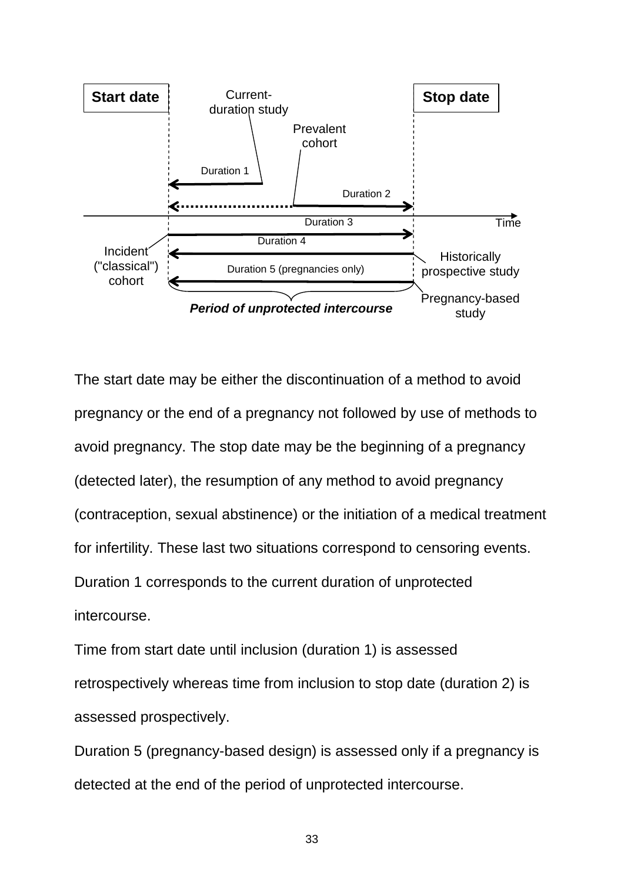

The start date may be either the discontinuation of a method to avoid pregnancy or the end of a pregnancy not followed by use of methods to avoid pregnancy. The stop date may be the beginning of a pregnancy (detected later), the resumption of any method to avoid pregnancy (contraception, sexual abstinence) or the initiation of a medical treatment for infertility. These last two situations correspond to censoring events. Duration 1 corresponds to the current duration of unprotected intercourse.

Time from start date until inclusion (duration 1) is assessed retrospectively whereas time from inclusion to stop date (duration 2) is assessed prospectively.

Duration 5 (pregnancy-based design) is assessed only if a pregnancy is detected at the end of the period of unprotected intercourse.